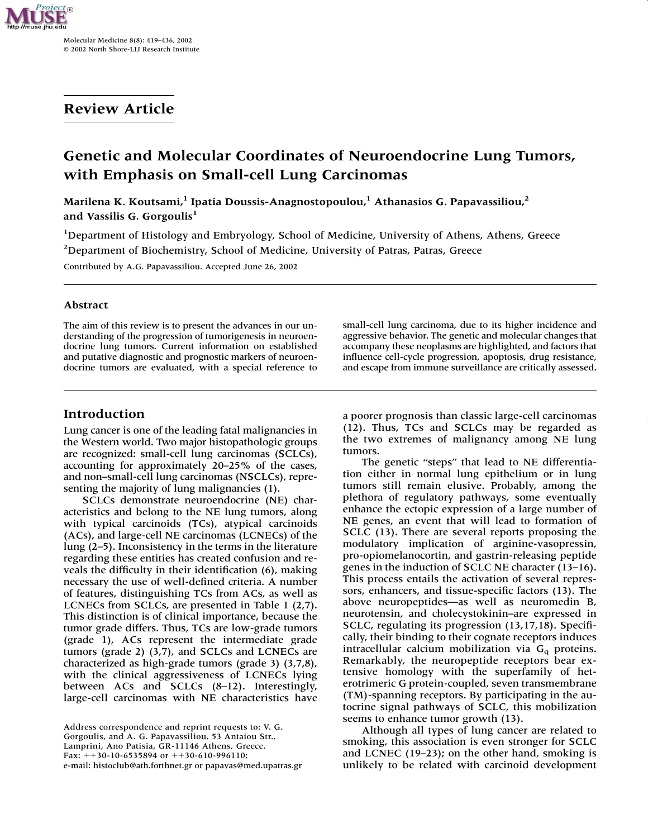

Molecular Medicine 8(8): 419–436, 2002 © 2002 North Shore-LIJ Research Institute

# **Review Article**

# **Genetic and Molecular Coordinates of Neuroendocrine Lung Tumors, with Emphasis on Small-cell Lung Carcinomas**

Marilena K. Koutsami,<sup>1</sup> Ipatia Doussis-Anagnostopoulou,<sup>1</sup> Athanasios G. Papavassiliou,<sup>2</sup> **and Vassilis G. Gorgoulis<sup>1</sup>**

<sup>1</sup>Department of Histology and Embryology, School of Medicine, University of Athens, Athens, Greece <sup>2</sup>Department of Biochemistry, School of Medicine, University of Patras, Patras, Greece

Contributed by A.G. Papavassiliou. Accepted June 26, 2002

### **Abstract**

The aim of this review is to present the advances in our understanding of the progression of tumorigenesis in neuroendocrine lung tumors. Current information on established and putative diagnostic and prognostic markers of neuroendocrine tumors are evaluated, with a special reference to

**Introduction**

Lung cancer is one of the leading fatal malignancies in the Western world. Two major histopathologic groups are recognized: small-cell lung carcinomas (SCLCs), accounting for approximately 20–25% of the cases, and non–small-cell lung carcinomas (NSCLCs), representing the majority of lung malignancies (1).

SCLCs demonstrate neuroendocrine (NE) characteristics and belong to the NE lung tumors, along with typical carcinoids (TCs), atypical carcinoids (ACs), and large-cell NE carcinomas (LCNECs) of the lung (2–5). Inconsistency in the terms in the literature regarding these entities has created confusion and reveals the difficulty in their identification (6), making necessary the use of well-defined criteria. A number of features, distinguishing TCs from ACs, as well as LCNECs from SCLCs, are presented in Table 1 (2,7). This distinction is of clinical importance, because the tumor grade differs. Thus, TCs are low-grade tumors (grade 1), ACs represent the intermediate grade tumors (grade 2) (3,7), and SCLCs and LCNECs are characterized as high-grade tumors (grade 3) (3,7,8), with the clinical aggressiveness of LCNECs lying between ACs and SCLCs (8–12). Interestingly, large-cell carcinomas with NE characteristics have

small-cell lung carcinoma, due to its higher incidence and aggressive behavior. The genetic and molecular changes that accompany these neoplasms are highlighted, and factors that influence cell-cycle progression, apoptosis, drug resistance, and escape from immune surveillance are critically assessed.

a poorer prognosis than classic large-cell carcinomas (12). Thus, TCs and SCLCs may be regarded as the two extremes of malignancy among NE lung tumors.

The genetic "steps" that lead to NE differentiation either in normal lung epithelium or in lung tumors still remain elusive. Probably, among the plethora of regulatory pathways, some eventually enhance the ectopic expression of a large number of NE genes, an event that will lead to formation of SCLC (13). There are several reports proposing the modulatory implication of arginine-vasopressin, pro-opiomelanocortin, and gastrin-releasing peptide genes in the induction of SCLC NE character (13–16). This process entails the activation of several repressors, enhancers, and tissue-specific factors (13). The above neuropeptides—as well as neuromedin B, neurotensin, and cholecystokinin–are expressed in SCLC, regulating its progression (13,17,18). Specifically, their binding to their cognate receptors induces intracellular calcium mobilization via  $G_q$  proteins. Remarkably, the neuropeptide receptors bear extensive homology with the superfamily of heterotrimeric G protein-coupled, seven transmembrane (TM)-spanning receptors. By participating in the autocrine signal pathways of SCLC, this mobilization seems to enhance tumor growth (13).

Although all types of lung cancer are related to smoking, this association is even stronger for SCLC and LCNEC (19–23); on the other hand, smoking is unlikely to be related with carcinoid development

Address correspondence and reprint requests to: V. G. Gorgoulis, and A. G. Papavassiliou, 53 Antaiou Str., Lamprini, Ano Patisia, GR-11146 Athens, Greece. Fax:  $++30-10-6535894$  or  $++30-610-996110$ ; e-mail: histoclub@ath.forthnet.gr or papavas@med.upatras.gr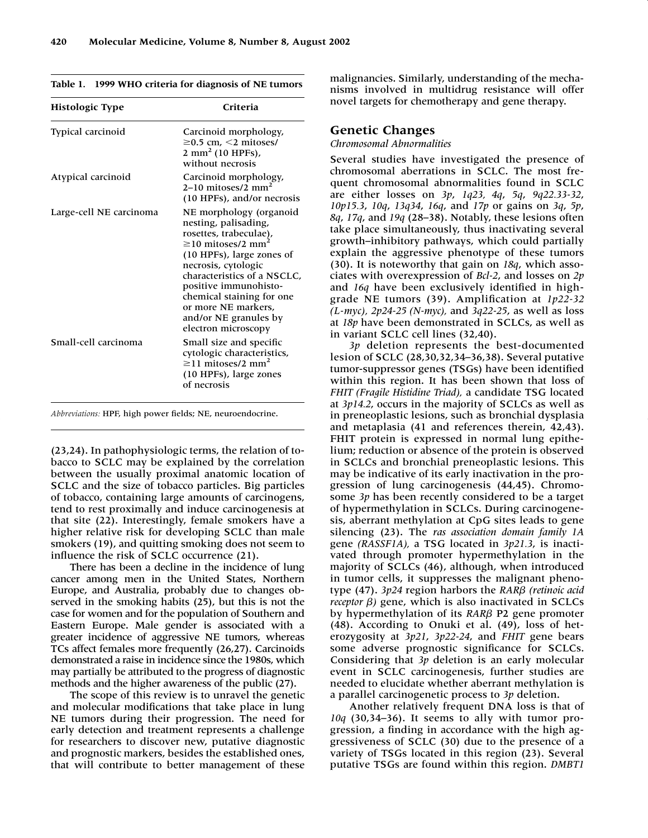|  | Table 1. 1999 WHO criteria for diagnosis of NE tumors |  |  |  |  |
|--|-------------------------------------------------------|--|--|--|--|
|--|-------------------------------------------------------|--|--|--|--|

| Histologic Type         | Criteria                                                                                                                                                                                                                                                                                                                           |  |  |  |
|-------------------------|------------------------------------------------------------------------------------------------------------------------------------------------------------------------------------------------------------------------------------------------------------------------------------------------------------------------------------|--|--|--|
| Typical carcinoid       | Carcinoid morphology,<br>$\geq$ 0.5 cm, $\leq$ 2 mitoses/<br>$2 \text{ mm}^2$ (10 HPFs),<br>without necrosis                                                                                                                                                                                                                       |  |  |  |
| Atypical carcinoid      | Carcinoid morphology,<br>$2-10$ mitoses/2 mm <sup>2</sup><br>(10 HPFs), and/or necrosis                                                                                                                                                                                                                                            |  |  |  |
| Large-cell NE carcinoma | NE morphology (organoid<br>nesting, palisading,<br>rosettes, trabeculae),<br>$\geq$ 10 mitoses/2 mm <sup>2</sup><br>$(10$ HPFs), large zones of<br>necrosis, cytologic<br>characteristics of a NSCLC,<br>positive immunohisto-<br>chemical staining for one<br>or more NE markers.<br>and/or NE granules by<br>electron microscopy |  |  |  |
| Small-cell carcinoma    | Small size and specific<br>cytologic characteristics,<br>$\geq$ 11 mitoses/2 mm <sup>2</sup><br>(10 HPFs), large zones<br>of necrosis                                                                                                                                                                                              |  |  |  |

*Abbreviations:* HPF, high power fields; NE, neuroendocrine.

(23,24). In pathophysiologic terms, the relation of tobacco to SCLC may be explained by the correlation between the usually proximal anatomic location of SCLC and the size of tobacco particles. Big particles of tobacco, containing large amounts of carcinogens, tend to rest proximally and induce carcinogenesis at that site (22). Interestingly, female smokers have a higher relative risk for developing SCLC than male smokers (19), and quitting smoking does not seem to influence the risk of SCLC occurrence (21).

There has been a decline in the incidence of lung cancer among men in the United States, Northern Europe, and Australia, probably due to changes observed in the smoking habits (25), but this is not the case for women and for the population of Southern and Eastern Europe. Male gender is associated with a greater incidence of aggressive NE tumors, whereas TCs affect females more frequently (26,27). Carcinoids demonstrated a raise in incidence since the 1980s, which may partially be attributed to the progress of diagnostic methods and the higher awareness of the public (27).

The scope of this review is to unravel the genetic and molecular modifications that take place in lung NE tumors during their progression. The need for early detection and treatment represents a challenge for researchers to discover new, putative diagnostic and prognostic markers, besides the established ones, that will contribute to better management of these malignancies. Similarly, understanding of the mechanisms involved in multidrug resistance will offer novel targets for chemotherapy and gene therapy.

### **Genetic Changes**

#### *Chromosomal Abnormalities*

Several studies have investigated the presence of chromosomal aberrations in SCLC. The most frequent chromosomal abnormalities found in SCLC are either losses on *3p*, *1q23, 4q*, *5q*, *9q22.33-32*, *10p15.3*, *10q*, *13q34*, *16q*, and *17p* or gains on *3q*, *5p*, *8q*, *17q*, and *19q* (28–38). Notably, these lesions often take place simultaneously, thus inactivating several growth–inhibitory pathways, which could partially explain the aggressive phenotype of these tumors (30). It is noteworthy that gain on *18q*, which associates with overexpression of *Bcl-2*, and losses on *2p* and *16q* have been exclusively identified in highgrade NE tumors (39). Amplification at *1p22-32 (L-myc), 2p24-25 (N-myc),* and *3q22-25*, as well as loss at *18p* have been demonstrated in SCLCs, as well as in variant SCLC cell lines (32,40).

*3p* deletion represents the best-documented lesion of SCLC (28,30,32,34–36,38). Several putative tumor-suppressor genes (TSGs) have been identified within this region. It has been shown that loss of *FHIT (Fragile Histidine Triad),* a candidate TSG located at *3p14.2*, occurs in the majority of SCLCs as well as in preneoplastic lesions, such as bronchial dysplasia and metaplasia (41 and references therein, 42,43). FHIT protein is expressed in normal lung epithelium; reduction or absence of the protein is observed in SCLCs and bronchial preneoplastic lesions. This may be indicative of its early inactivation in the progression of lung carcinogenesis (44,45). Chromosome *3p* has been recently considered to be a target of hypermethylation in SCLCs. During carcinogenesis, aberrant methylation at CpG sites leads to gene silencing (23). The *ras association domain family 1A* gene *(RASSF1A),* a TSG located in *3p21.3*, is inactivated through promoter hypermethylation in the majority of SCLCs (46), although, when introduced in tumor cells, it suppresses the malignant phenotype (47). *3p24* region harbors the *RAR- (retinoic acid receptor*  $\beta$ ) gene, which is also inactivated in SCLCs by hypermethylation of its *RARβ* P2 gene promoter (48). According to Onuki et al. (49), loss of heterozygosity at *3p21*, *3p22-24*, and *FHIT* gene bears some adverse prognostic significance for SCLCs. Considering that *3p* deletion is an early molecular event in SCLC carcinogenesis, further studies are needed to elucidate whether aberrant methylation is a parallel carcinogenetic process to *3p* deletion.

Another relatively frequent DNA loss is that of *10q* (30,34–36). It seems to ally with tumor progression, a finding in accordance with the high aggressiveness of SCLC (30) due to the presence of a variety of TSGs located in this region (23). Several putative TSGs are found within this region. *DMBT1*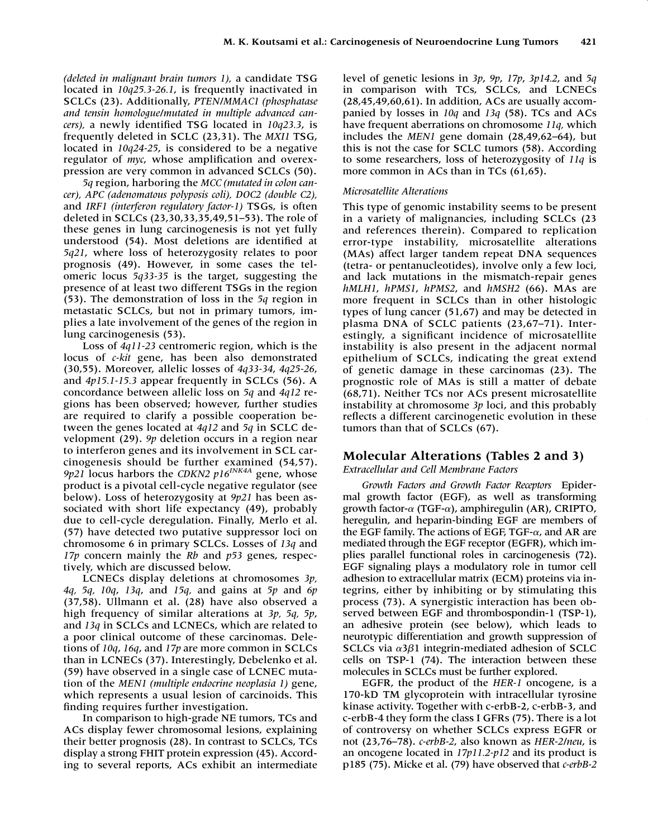*(deleted in malignant brain tumors 1),* a candidate TSG located in *10q25.3-26.1*, is frequently inactivated in SCLCs (23). Additionally, *PTEN/MMAC1 (phosphatase and tensin homologue/mutated in multiple advanced cancers),* a newly identified TSG located in *10q23.3*, is frequently deleted in SCLC (23,31). The *MXI1* TSG, located in *10q24-25*, is considered to be a negative regulator of *myc*, whose amplification and overexpression are very common in advanced SCLCs (50).

*5q* region, harboring the *MCC (mutated in colon cancer), APC (adenomatous polyposis coli), DOC2 (double C2),* and *IRF1 (interferon regulatory factor-1)* TSGs, is often deleted in SCLCs (23,30,33,35,49,51–53). The role of these genes in lung carcinogenesis is not yet fully understood (54). Most deletions are identified at *5q21*, where loss of heterozygosity relates to poor prognosis (49). However, in some cases the telomeric locus *5q33-35* is the target, suggesting the presence of at least two different TSGs in the region (53). The demonstration of loss in the *5q* region in metastatic SCLCs, but not in primary tumors, implies a late involvement of the genes of the region in lung carcinogenesis (53).

Loss of *4q11-23* centromeric region, which is the locus of *c-kit* gene, has been also demonstrated (30,55). Moreover, allelic losses of *4q33-34*, *4q25-26*, and *4p15.1-15.3* appear frequently in SCLCs (56). A concordance between allelic loss on *5q* and *4q12* regions has been observed; however, further studies are required to clarify a possible cooperation between the genes located at *4q12* and *5q* in SCLC development (29). *9p* deletion occurs in a region near to interferon genes and its involvement in SCL carcinogenesis should be further examined (54,57). *9p21* locus harbors the *CDKN2 p16INK4A* gene, whose product is a pivotal cell-cycle negative regulator (see below). Loss of heterozygosity at *9p21* has been associated with short life expectancy (49), probably due to cell-cycle deregulation. Finally, Merlo et al. (57) have detected two putative suppressor loci on chromosome 6 in primary SCLCs. Losses of *13q* and *17p* concern mainly the *Rb* and *p53* genes, respectively, which are discussed below.

LCNECs display deletions at chromosomes *3p, 4q, 5q, 10q*, *13q*, and *15q,* and gains at *5p* and *6p* (37,58). Ullmann et al. (28) have also observed a high frequency of similar alterations at *3p, 5q, 5p*, and *13q* in SCLCs and LCNECs, which are related to a poor clinical outcome of these carcinomas. Deletions of *10q*, *16q*, and *17p* are more common in SCLCs than in LCNECs (37). Interestingly, Debelenko et al. (59) have observed in a single case of LCNEC mutation of the *MEN1 (multiple endocrine neoplasia 1)* gene, which represents a usual lesion of carcinoids. This finding requires further investigation.

In comparison to high-grade NE tumors, TCs and ACs display fewer chromosomal lesions, explaining their better prognosis (28). In contrast to SCLCs, TCs display a strong FHIT protein expression (45). According to several reports, ACs exhibit an intermediate

level of genetic lesions in *3p*, *9p*, *17p*, *3p14.2*, and *5q* in comparison with TCs, SCLCs, and LCNECs (28,45,49,60,61). In addition, ACs are usually accompanied by losses in *10q* and *13q* (58). TCs and ACs have frequent aberrations on chromosome *11q,* which includes the *MEN1* gene domain (28,49,62–64), but this is not the case for SCLC tumors (58). According to some researchers, loss of heterozygosity of *11q* is more common in ACs than in TCs (61,65).

#### *Microsatellite Alterations*

This type of genomic instability seems to be present in a variety of malignancies, including SCLCs (23 and references therein). Compared to replication error-type instability, microsatellite alterations (MAs) affect larger tandem repeat DNA sequences (tetra- or pentanucleotides), involve only a few loci, and lack mutations in the mismatch-repair genes *hMLH1*, *hPMS1*, *hPMS2*, and *hMSH2* (66). MAs are more frequent in SCLCs than in other histologic types of lung cancer (51,67) and may be detected in plasma DNA of SCLC patients (23,67–71). Interestingly, a significant incidence of microsatellite instability is also present in the adjacent normal epithelium of SCLCs, indicating the great extend of genetic damage in these carcinomas (23). The prognostic role of MAs is still a matter of debate (68,71). Neither TCs nor ACs present microsatellite instability at chromosome *3p* loci, and this probably reflects a different carcinogenetic evolution in these tumors than that of SCLCs (67).

## **Molecular Alterations (Tables 2 and 3)**

*Extracellular and Cell Membrane Factors*

*Growth Factors and Growth Factor Receptors* Epidermal growth factor (EGF), as well as transforming growth factor- $\alpha$  (TGF- $\alpha$ ), amphiregulin (AR), CRIPTO, heregulin, and heparin-binding EGF are members of the EGF family. The actions of EGF, TGF- $\alpha$ , and AR are mediated through the EGF receptor (EGFR), which implies parallel functional roles in carcinogenesis (72). EGF signaling plays a modulatory role in tumor cell adhesion to extracellular matrix (ECM) proteins via integrins, either by inhibiting or by stimulating this process (73). A synergistic interaction has been observed between EGF and thrombospondin-1 (TSP-1), an adhesive protein (see below), which leads to neurotypic differentiation and growth suppression of SCLCs via  $\alpha$ 3 $\beta$ 1 integrin-mediated adhesion of SCLC cells on TSP-1 (74). The interaction between these molecules in SCLCs must be further explored.

EGFR, the product of the *HER-1* oncogene, is a 170-kD TM glycoprotein with intracellular tyrosine kinase activity. Together with c-erbB-2, c-erbB-3, and c-erbB-4 they form the class I GFRs (75). There is a lot of controversy on whether SCLCs express EGFR or not (23,76–78). *c-erbB-2*, also known as *HER-2/neu*, is an oncogene located in *17p11.2-p12* and its product is p185 (75). Micke et al. (79) have observed that *c-erbB-2*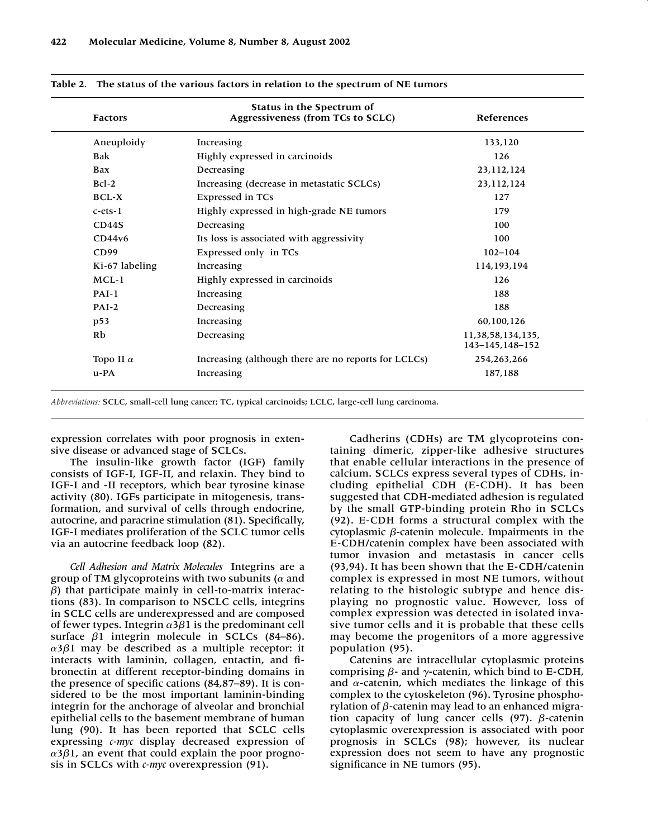| <b>Factors</b>   | Status in the Spectrum of<br>Aggressiveness (from TCs to SCLC) | References                            |
|------------------|----------------------------------------------------------------|---------------------------------------|
| Aneuploidy       | Increasing                                                     | 133,120                               |
| <b>Bak</b>       | Highly expressed in carcinoids                                 | 126                                   |
| Bax              | Decreasing                                                     | 23,112,124                            |
| $Bcl-2$          | Increasing (decrease in metastatic SCLCs)                      | 23,112,124                            |
| <b>BCL-X</b>     | Expressed in TCs                                               | 127                                   |
| $c$ -ets- $1$    | Highly expressed in high-grade NE tumors                       | 179                                   |
| CD44S            | Decreasing                                                     | 100                                   |
| CD44v6           | Its loss is associated with aggressivity                       | 100                                   |
| CD99             | Expressed only in TCs                                          | $102 - 104$                           |
| Ki-67 labeling   | Increasing                                                     | 114,193,194                           |
| $MCL-1$          | Highly expressed in carcinoids                                 | 126                                   |
| $PAI-1$          | Increasing                                                     | 188                                   |
| $PAI-2$          | Decreasing                                                     | 188                                   |
| p53              | Increasing                                                     | 60,100,126                            |
| Rb               | Decreasing                                                     | 11,38,58,134,135,<br>143-145, 148-152 |
| Topo II $\alpha$ | Increasing (although there are no reports for LCLCs)           | 254,263,266                           |
| $u$ -PA          | Increasing                                                     | 187,188                               |

**Table 2. The status of the various factors in relation to the spectrum of NE tumors**

*Abbreviations:* SCLC, small-cell lung cancer; TC, typical carcinoids; LCLC, large-cell lung carcinoma.

expression correlates with poor prognosis in extensive disease or advanced stage of SCLCs.

The insulin-like growth factor (IGF) family consists of IGF-I, IGF-II, and relaxin. They bind to IGF-I and -II receptors, which bear tyrosine kinase activity (80). IGFs participate in mitogenesis, transformation, and survival of cells through endocrine, autocrine, and paracrine stimulation (81). Specifically, IGF-I mediates proliferation of the SCLC tumor cells via an autocrine feedback loop (82).

*Cell Adhesion and Matrix Molecules* Integrins are a group of TM glycoproteins with two subunits ( $\alpha$  and *-*) that participate mainly in cell-to-matrix interactions (83). In comparison to NSCLC cells, integrins in SCLC cells are underexpressed and are composed of fewer types. Integrin  $\alpha$ 3 $\beta$ 1 is the predominant cell surface β1 integrin molecule in SCLCs (84–86). α3β1 may be described as a multiple receptor: it interacts with laminin, collagen, entactin, and fibronectin at different receptor-binding domains in the presence of specific cations (84,87–89). It is considered to be the most important laminin-binding integrin for the anchorage of alveolar and bronchial epithelial cells to the basement membrane of human lung (90). It has been reported that SCLC cells expressing *c-myc* display decreased expression of α3β1, an event that could explain the poor prognosis in SCLCs with *c-myc* overexpression (91).

Cadherins (CDHs) are TM glycoproteins containing dimeric, zipper-like adhesive structures that enable cellular interactions in the presence of calcium. SCLCs express several types of CDHs, including epithelial CDH (E-CDH). It has been suggested that CDH-mediated adhesion is regulated by the small GTP-binding protein Rho in SCLCs (92). E-CDH forms a structural complex with the cytoplasmic β-catenin molecule. Impairments in the E-CDH/catenin complex have been associated with tumor invasion and metastasis in cancer cells (93,94). It has been shown that the E-CDH/catenin complex is expressed in most NE tumors, without relating to the histologic subtype and hence displaying no prognostic value. However, loss of complex expression was detected in isolated invasive tumor cells and it is probable that these cells may become the progenitors of a more aggressive population (95).

Catenins are intracellular cytoplasmic proteins comprising  $\beta$ - and  $\gamma$ -catenin, which bind to E-CDH, and  $\alpha$ -catenin, which mediates the linkage of this complex to the cytoskeleton (96). Tyrosine phosphorylation of  $\beta$ -catenin may lead to an enhanced migration capacity of lung cancer cells (97). *β*-catenin cytoplasmic overexpression is associated with poor prognosis in SCLCs (98); however, its nuclear expression does not seem to have any prognostic significance in NE tumors (95).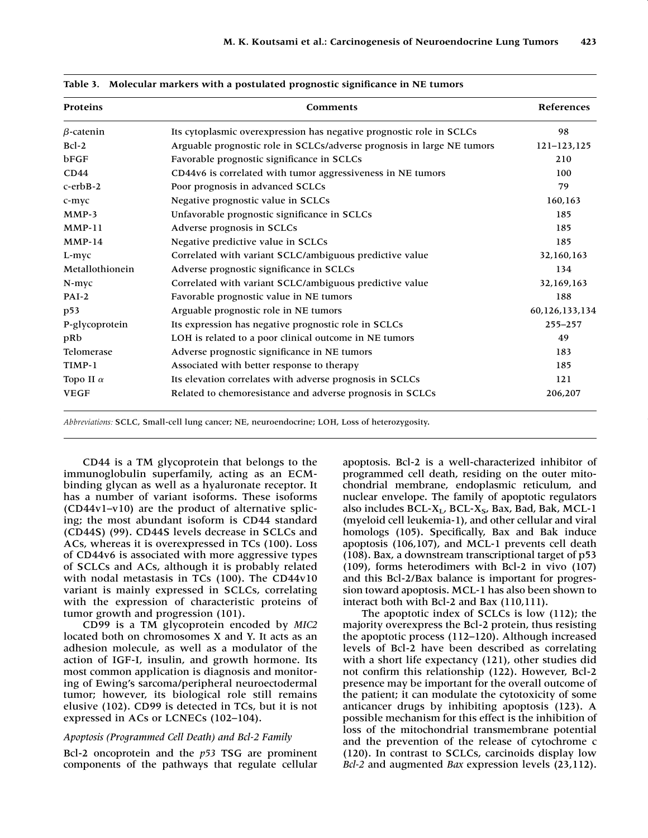| Proteins         | Comments                                                               | References     |  |
|------------------|------------------------------------------------------------------------|----------------|--|
| $\beta$ -catenin | Its cytoplasmic overexpression has negative prognostic role in SCLCs   | 98             |  |
| $Bcl-2$          | Arguable prognostic role in SCLCs/adverse prognosis in large NE tumors | 121-123,125    |  |
| bFGF             | Favorable prognostic significance in SCLCs                             | 210            |  |
| CD44             | CD44v6 is correlated with tumor aggressiveness in NE tumors            | 100            |  |
| $c$ -erb $B-2$   | Poor prognosis in advanced SCLCs                                       | 79             |  |
| c-myc            | Negative prognostic value in SCLCs                                     | 160,163        |  |
| $MMP-3$          | Unfavorable prognostic significance in SCLCs                           | 185            |  |
| $MMP-11$         | Adverse prognosis in SCLCs                                             | 185            |  |
| $MMP-14$         | Negative predictive value in SCLCs                                     | 185            |  |
| L-myc            | Correlated with variant SCLC/ambiguous predictive value                | 32,160,163     |  |
| Metallothionein  | Adverse prognostic significance in SCLCs                               | 134            |  |
| N-myc            | Correlated with variant SCLC/ambiguous predictive value                | 32,169,163     |  |
| $PAI-2$          | Favorable prognostic value in NE tumors                                | 188            |  |
| p53              | Arguable prognostic role in NE tumors                                  | 60,126,133,134 |  |
| P-glycoprotein   | Its expression has negative prognostic role in SCLCs                   | 255-257        |  |
| pRb              | LOH is related to a poor clinical outcome in NE tumors                 | 49             |  |
| Telomerase       | Adverse prognostic significance in NE tumors                           | 183            |  |
| TIMP-1           | Associated with better response to therapy                             | 185            |  |
| Topo II $\alpha$ | Its elevation correlates with adverse prognosis in SCLCs               | 121            |  |
| <b>VEGF</b>      | Related to chemoresistance and adverse prognosis in SCLCs              | 206,207        |  |

|  | Table 3. Molecular markers with a postulated prognostic significance in NE tumors |  |  |  |  |  |  |
|--|-----------------------------------------------------------------------------------|--|--|--|--|--|--|
|--|-----------------------------------------------------------------------------------|--|--|--|--|--|--|

*Abbreviations:* SCLC, Small-cell lung cancer; NE, neuroendocrine; LOH, Loss of heterozygosity.

CD44 is a TM glycoprotein that belongs to the immunoglobulin superfamily, acting as an ECMbinding glycan as well as a hyaluronate receptor. It has a number of variant isoforms. These isoforms (CD44v1–v10) are the product of alternative splicing; the most abundant isoform is CD44 standard (CD44S) (99). CD44S levels decrease in SCLCs and ACs, whereas it is overexpressed in TCs (100). Loss of CD44v6 is associated with more aggressive types of SCLCs and ACs, although it is probably related with nodal metastasis in TCs (100). The CD44v10 variant is mainly expressed in SCLCs, correlating with the expression of characteristic proteins of tumor growth and progression (101).

CD99 is a TM glycoprotein encoded by *MIC2* located both on chromosomes X and Y. It acts as an adhesion molecule, as well as a modulator of the action of IGF-I, insulin, and growth hormone. Its most common application is diagnosis and monitoring of Ewing's sarcoma/peripheral neuroectodermal tumor; however, its biological role still remains elusive (102). CD99 is detected in TCs, but it is not expressed in ACs or LCNECs (102–104).

#### *Apoptosis (Programmed Cell Death) and Bcl-2 Family*

Bcl-2 oncoprotein and the *p53* TSG are prominent components of the pathways that regulate cellular apoptosis. Bcl-2 is a well-characterized inhibitor of programmed cell death, residing on the outer mitochondrial membrane, endoplasmic reticulum, and nuclear envelope. The family of apoptotic regulators also includes  $BCL-X_L$ ,  $BCL-X_S$ , Bax, Bad, Bak, MCL-1 (myeloid cell leukemia-1), and other cellular and viral homologs (105). Specifically, Bax and Bak induce apoptosis (106,107), and MCL-1 prevents cell death (108). Bax, a downstream transcriptional target of p53 (109), forms heterodimers with Bcl-2 in vivo (107) and this Bcl-2/Bax balance is important for progression toward apoptosis. MCL-1 has also been shown to interact both with Bcl-2 and Bax (110,111).

The apoptotic index of SCLCs is low (112); the majority overexpress the Bcl-2 protein, thus resisting the apoptotic process (112–120). Although increased levels of Bcl-2 have been described as correlating with a short life expectancy (121), other studies did not confirm this relationship (122). However, Bcl-2 presence may be important for the overall outcome of the patient; it can modulate the cytotoxicity of some anticancer drugs by inhibiting apoptosis (123). A possible mechanism for this effect is the inhibition of loss of the mitochondrial transmembrane potential and the prevention of the release of cytochrome c (120). In contrast to SCLCs, carcinoids display low *Bcl-2* and augmented *Bax* expression levels (23,112).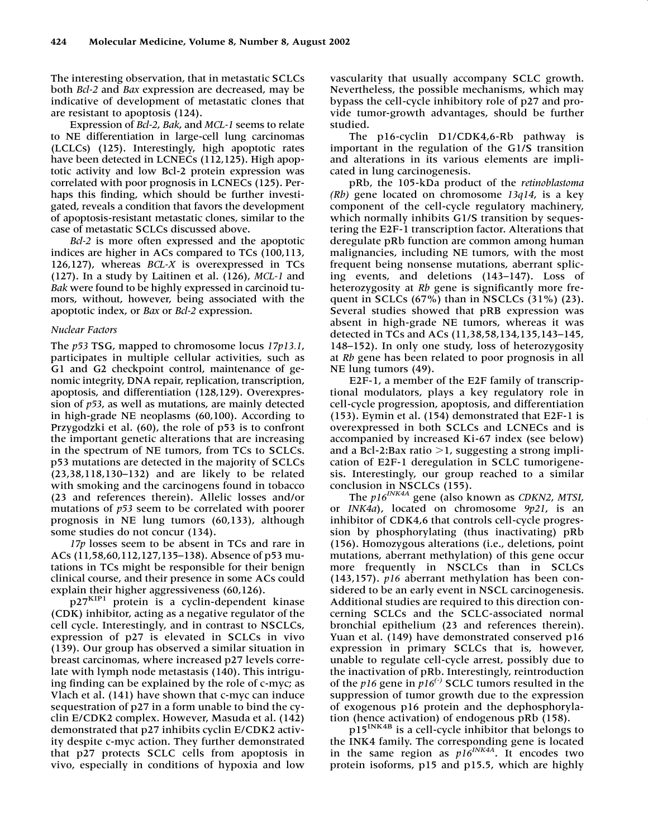The interesting observation, that in metastatic SCLCs both *Bcl-2* and *Bax* expression are decreased, may be indicative of development of metastatic clones that are resistant to apoptosis (124).

Expression of *Bcl-2*, *Bak*, and *MCL-1* seems to relate to NE differentiation in large-cell lung carcinomas (LCLCs) (125). Interestingly, high apoptotic rates have been detected in LCNECs (112,125). High apoptotic activity and low Bcl-2 protein expression was correlated with poor prognosis in LCNECs (125). Perhaps this finding, which should be further investigated, reveals a condition that favors the development of apoptosis-resistant metastatic clones, similar to the case of metastatic SCLCs discussed above.

*Bcl-2* is more often expressed and the apoptotic indices are higher in ACs compared to TCs (100,113, 126,127), whereas *BCL-X* is overexpressed in TCs (127). In a study by Laitinen et al. (126), *MCL-1* and *Bak* were found to be highly expressed in carcinoid tumors, without, however, being associated with the apoptotic index, or *Bax* or *Bcl-2* expression.

#### *Nuclear Factors*

The *p53* TSG, mapped to chromosome locus *17p13.1*, participates in multiple cellular activities, such as G1 and G2 checkpoint control, maintenance of genomic integrity, DNA repair, replication, transcription, apoptosis, and differentiation (128,129). Overexpression of *p53*, as well as mutations, are mainly detected in high-grade NE neoplasms (60,100). According to Przygodzki et al. (60), the role of p53 is to confront the important genetic alterations that are increasing in the spectrum of NE tumors, from TCs to SCLCs. p53 mutations are detected in the majority of SCLCs (23,38,118,130–132) and are likely to be related with smoking and the carcinogens found in tobacco (23 and references therein). Allelic losses and/or mutations of *p53* seem to be correlated with poorer prognosis in NE lung tumors (60,133), although some studies do not concur (134).

*17p* losses seem to be absent in TCs and rare in ACs (11,58,60,112,127,135–138). Absence of p53 mutations in TCs might be responsible for their benign clinical course, and their presence in some ACs could explain their higher aggressiveness (60,126).

p27KIP1 protein is a cyclin-dependent kinase (CDK) inhibitor, acting as a negative regulator of the cell cycle. Interestingly, and in contrast to NSCLCs, expression of p27 is elevated in SCLCs in vivo (139). Our group has observed a similar situation in breast carcinomas, where increased p27 levels correlate with lymph node metastasis (140). This intriguing finding can be explained by the role of c-myc; as Vlach et al. (141) have shown that c-myc can induce sequestration of p27 in a form unable to bind the cyclin E/CDK2 complex. However, Masuda et al. (142) demonstrated that p27 inhibits cyclin E/CDK2 activity despite c-myc action. They further demonstrated that p27 protects SCLC cells from apoptosis in vivo, especially in conditions of hypoxia and low

vascularity that usually accompany SCLC growth. Nevertheless, the possible mechanisms, which may bypass the cell-cycle inhibitory role of p27 and provide tumor-growth advantages, should be further studied.

The p16-cyclin D1/CDK4,6-Rb pathway is important in the regulation of the G1/S transition and alterations in its various elements are implicated in lung carcinogenesis.

pRb, the 105-kDa product of the *retinoblastoma (Rb)* gene located on chromosome *13q14*, is a key component of the cell-cycle regulatory machinery, which normally inhibits G1/S transition by sequestering the E2F-1 transcription factor. Alterations that deregulate pRb function are common among human malignancies, including NE tumors, with the most frequent being nonsense mutations, aberrant splicing events, and deletions (143–147). Loss of heterozygosity at *Rb* gene is significantly more frequent in SCLCs  $(67%)$  than in NSCLCs  $(31%)$   $(23)$ . Several studies showed that pRB expression was absent in high-grade NE tumors, whereas it was detected in TCs and ACs (11,38,58,134,135,143–145, 148–152). In only one study, loss of heterozygosity at *Rb* gene has been related to poor prognosis in all NE lung tumors (49).

E2F-1, a member of the E2F family of transcriptional modulators, plays a key regulatory role in cell-cycle progression, apoptosis, and differentiation (153). Eymin et al. (154) demonstrated that E2F-1 is overexpressed in both SCLCs and LCNECs and is accompanied by increased Ki-67 index (see below) and a Bcl-2:Bax ratio  $>$ 1, suggesting a strong implication of E2F-1 deregulation in SCLC tumorigenesis. Interestingly, our group reached to a similar conclusion in NSCLCs (155).

The *p16INK4A* gene (also known as *CDKN2*, *MTSI*, or *INK4a*), located on chromosome *9p21*, is an inhibitor of CDK4,6 that controls cell-cycle progression by phosphorylating (thus inactivating) pRb (156). Homozygous alterations (i.e., deletions, point mutations, aberrant methylation) of this gene occur more frequently in NSCLCs than in SCLCs (143,157). *p16* aberrant methylation has been considered to be an early event in NSCL carcinogenesis. Additional studies are required to this direction concerning SCLCs and the SCLC-associated normal bronchial epithelium (23 and references therein). Yuan et al. (149) have demonstrated conserved p16 expression in primary SCLCs that is, however, unable to regulate cell-cycle arrest, possibly due to the inactivation of pRb. Interestingly, reintroduction of the *p16* gene in *p16(-)* SCLC tumors resulted in the suppression of tumor growth due to the expression of exogenous p16 protein and the dephosphorylation (hence activation) of endogenous pRb (158).

p15<sup>INK4B</sup> is a cell-cycle inhibitor that belongs to the INK4 family. The corresponding gene is located in the same region as  $p16^{INK4A}$ . It encodes two protein isoforms, p15 and p15.5, which are highly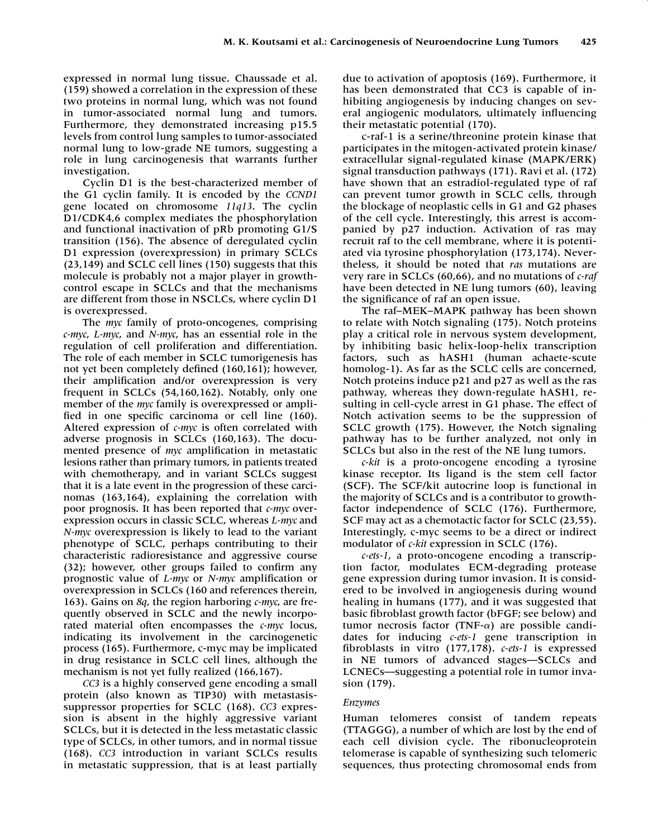expressed in normal lung tissue. Chaussade et al. (159) showed a correlation in the expression of these two proteins in normal lung, which was not found in tumor-associated normal lung and tumors. Furthermore, they demonstrated increasing p15.5 levels from control lung samples to tumor-associated normal lung to low-grade NE tumors, suggesting a role in lung carcinogenesis that warrants further investigation.

Cyclin D1 is the best-characterized member of the G1 cyclin family. It is encoded by the *CCND1* gene located on chromosome *11q13*. The cyclin D1/CDK4,6 complex mediates the phosphorylation and functional inactivation of pRb promoting G1/S transition (156). The absence of deregulated cyclin D1 expression (overexpression) in primary SCLCs (23,149) and SCLC cell lines (150) suggests that this molecule is probably not a major player in growthcontrol escape in SCLCs and that the mechanisms are different from those in NSCLCs, where cyclin D1 is overexpressed.

The *myc* family of proto-oncogenes, comprising *c-myc*, *L-myc*, and *N-myc*, has an essential role in the regulation of cell proliferation and differentiation. The role of each member in SCLC tumorigenesis has not yet been completely defined (160,161); however, their amplification and/or overexpression is very frequent in SCLCs (54,160,162). Notably, only one member of the *myc* family is overexpressed or amplified in one specific carcinoma or cell line (160). Altered expression of *c-myc* is often correlated with adverse prognosis in SCLCs (160,163). The documented presence of *myc* amplification in metastatic lesions rather than primary tumors, in patients treated with chemotherapy, and in variant SCLCs suggest that it is a late event in the progression of these carcinomas (163,164), explaining the correlation with poor prognosis. It has been reported that *c-myc* overexpression occurs in classic SCLC, whereas *L-myc* and *N-myc* overexpression is likely to lead to the variant phenotype of SCLC, perhaps contributing to their characteristic radioresistance and aggressive course (32); however, other groups failed to confirm any prognostic value of *L-myc* or *N-myc* amplification or overexpression in SCLCs (160 and references therein, 163). Gains on *8q*, the region harboring *c-myc*, are frequently observed in SCLC and the newly incorporated material often encompasses the *c-myc* locus, indicating its involvement in the carcinogenetic process (165). Furthermore, c-myc may be implicated in drug resistance in SCLC cell lines, although the mechanism is not yet fully realized (166,167).

*CC3* is a highly conserved gene encoding a small protein (also known as TIP30) with metastasissuppressor properties for SCLC (168). *CC3* expression is absent in the highly aggressive variant SCLCs, but it is detected in the less metastatic classic type of SCLCs, in other tumors, and in normal tissue (168). *CC3* introduction in variant SCLCs results in metastatic suppression, that is at least partially due to activation of apoptosis (169). Furthermore, it has been demonstrated that CC3 is capable of inhibiting angiogenesis by inducing changes on several angiogenic modulators, ultimately influencing their metastatic potential (170).

c-raf-1 is a serine/threonine protein kinase that participates in the mitogen-activated protein kinase/ extracellular signal-regulated kinase (MAPK/ERK) signal transduction pathways (171). Ravi et al. (172) have shown that an estradiol-regulated type of raf can prevent tumor growth in SCLC cells, through the blockage of neoplastic cells in G1 and G2 phases of the cell cycle. Interestingly, this arrest is accompanied by p27 induction. Activation of ras may recruit raf to the cell membrane, where it is potentiated via tyrosine phosphorylation (173,174). Nevertheless, it should be noted that *ras* mutations are very rare in SCLCs (60,66), and no mutations of *c-raf* have been detected in NE lung tumors (60), leaving the significance of raf an open issue.

The raf–MEK–MAPK pathway has been shown to relate with Notch signaling (175). Notch proteins play a critical role in nervous system development, by inhibiting basic helix-loop-helix transcription factors, such as hASH1 (human achaete-scute homolog-1). As far as the SCLC cells are concerned, Notch proteins induce p21 and p27 as well as the ras pathway, whereas they down-regulate hASH1, resulting in cell-cycle arrest in G1 phase. The effect of Notch activation seems to be the suppression of SCLC growth (175). However, the Notch signaling pathway has to be further analyzed, not only in SCLCs but also in the rest of the NE lung tumors.

*c-kit* is a proto-oncogene encoding a tyrosine kinase receptor. Its ligand is the stem cell factor (SCF). The SCF/kit autocrine loop is functional in the majority of SCLCs and is a contributor to growthfactor independence of SCLC (176). Furthermore, SCF may act as a chemotactic factor for SCLC (23,55). Interestingly, c-myc seems to be a direct or indirect modulator of *c-kit* expression in SCLC (176).

*c-ets-1*, a proto-oncogene encoding a transcription factor, modulates ECM-degrading protease gene expression during tumor invasion. It is considered to be involved in angiogenesis during wound healing in humans (177), and it was suggested that basic fibroblast growth factor (bFGF; see below) and tumor necrosis factor (TNF- $\alpha$ ) are possible candidates for inducing *c-ets-1* gene transcription in fibroblasts in vitro (177,178). *c-ets-1* is expressed in NE tumors of advanced stages—SCLCs and LCNECs—suggesting a potential role in tumor invasion (179).

### *Enzymes*

Human telomeres consist of tandem repeats (TTAGGG), a number of which are lost by the end of each cell division cycle. The ribonucleoprotein telomerase is capable of synthesizing such telomeric sequences, thus protecting chromosomal ends from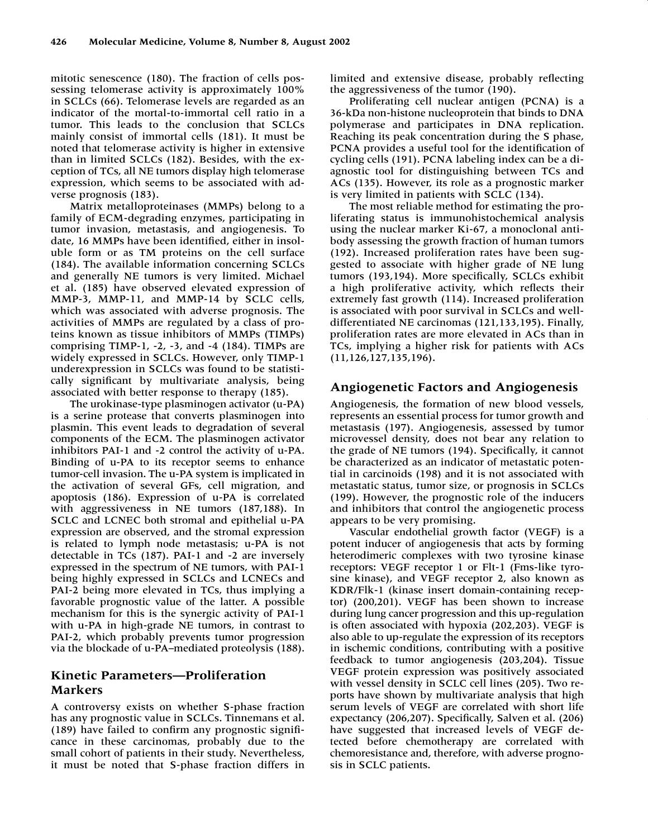mitotic senescence (180). The fraction of cells possessing telomerase activity is approximately 100% in SCLCs (66). Telomerase levels are regarded as an indicator of the mortal-to-immortal cell ratio in a tumor. This leads to the conclusion that SCLCs mainly consist of immortal cells (181). It must be noted that telomerase activity is higher in extensive than in limited SCLCs (182). Besides, with the exception of TCs, all NE tumors display high telomerase expression, which seems to be associated with adverse prognosis (183).

Matrix metalloproteinases (MMPs) belong to a family of ECM-degrading enzymes, participating in tumor invasion, metastasis, and angiogenesis. To date, 16 MMPs have been identified, either in insoluble form or as TM proteins on the cell surface (184). The available information concerning SCLCs and generally NE tumors is very limited. Michael et al. (185) have observed elevated expression of MMP-3, MMP-11, and MMP-14 by SCLC cells, which was associated with adverse prognosis. The activities of MMPs are regulated by a class of proteins known as tissue inhibitors of MMPs (TIMPs) comprising TIMP-1, -2, -3, and -4 (184). TIMPs are widely expressed in SCLCs. However, only TIMP-1 underexpression in SCLCs was found to be statistically significant by multivariate analysis, being associated with better response to therapy (185).

The urokinase-type plasminogen activator (u-PA) is a serine protease that converts plasminogen into plasmin. This event leads to degradation of several components of the ECM. The plasminogen activator inhibitors PAI-1 and -2 control the activity of u-PA. Binding of u-PA to its receptor seems to enhance tumor-cell invasion. The u-PA system is implicated in the activation of several GFs, cell migration, and apoptosis (186). Expression of u-PA is correlated with aggressiveness in NE tumors (187,188). In SCLC and LCNEC both stromal and epithelial u-PA expression are observed, and the stromal expression is related to lymph node metastasis; u-PA is not detectable in TCs (187). PAI-1 and -2 are inversely expressed in the spectrum of NE tumors, with PAI-1 being highly expressed in SCLCs and LCNECs and PAI-2 being more elevated in TCs, thus implying a favorable prognostic value of the latter. A possible mechanism for this is the synergic activity of PAI-1 with u-PA in high-grade NE tumors, in contrast to PAI-2, which probably prevents tumor progression via the blockade of u-PA–mediated proteolysis (188).

# **Kinetic Parameters—Proliferation Markers**

A controversy exists on whether S-phase fraction has any prognostic value in SCLCs. Tinnemans et al. (189) have failed to confirm any prognostic significance in these carcinomas, probably due to the small cohort of patients in their study. Nevertheless, it must be noted that S-phase fraction differs in

limited and extensive disease, probably reflecting the aggressiveness of the tumor (190).

Proliferating cell nuclear antigen (PCNA) is a 36-kDa non-histone nucleoprotein that binds to DNA polymerase and participates in DNA replication. Reaching its peak concentration during the S phase, PCNA provides a useful tool for the identification of cycling cells (191). PCNA labeling index can be a diagnostic tool for distinguishing between TCs and ACs (135). However, its role as a prognostic marker is very limited in patients with SCLC (134).

The most reliable method for estimating the proliferating status is immunohistochemical analysis using the nuclear marker Ki-67, a monoclonal antibody assessing the growth fraction of human tumors (192). Increased proliferation rates have been suggested to associate with higher grade of NE lung tumors (193,194). More specifically, SCLCs exhibit a high proliferative activity, which reflects their extremely fast growth (114). Increased proliferation is associated with poor survival in SCLCs and welldifferentiated NE carcinomas (121,133,195). Finally, proliferation rates are more elevated in ACs than in TCs, implying a higher risk for patients with ACs (11,126,127,135,196).

### **Angiogenetic Factors and Angiogenesis**

Angiogenesis, the formation of new blood vessels, represents an essential process for tumor growth and metastasis (197). Angiogenesis, assessed by tumor microvessel density, does not bear any relation to the grade of NE tumors (194). Specifically, it cannot be characterized as an indicator of metastatic potential in carcinoids (198) and it is not associated with metastatic status, tumor size, or prognosis in SCLCs (199). However, the prognostic role of the inducers and inhibitors that control the angiogenetic process appears to be very promising.

Vascular endothelial growth factor (VEGF) is a potent inducer of angiogenesis that acts by forming heterodimeric complexes with two tyrosine kinase receptors: VEGF receptor 1 or Flt-1 (Fms-like tyrosine kinase), and VEGF receptor 2, also known as KDR/Flk-1 (kinase insert domain-containing receptor) (200,201). VEGF has been shown to increase during lung cancer progression and this up-regulation is often associated with hypoxia (202,203). VEGF is also able to up-regulate the expression of its receptors in ischemic conditions, contributing with a positive feedback to tumor angiogenesis (203,204). Tissue VEGF protein expression was positively associated with vessel density in SCLC cell lines (205). Two reports have shown by multivariate analysis that high serum levels of VEGF are correlated with short life expectancy (206,207). Specifically, Salven et al. (206) have suggested that increased levels of VEGF detected before chemotherapy are correlated with chemoresistance and, therefore, with adverse prognosis in SCLC patients.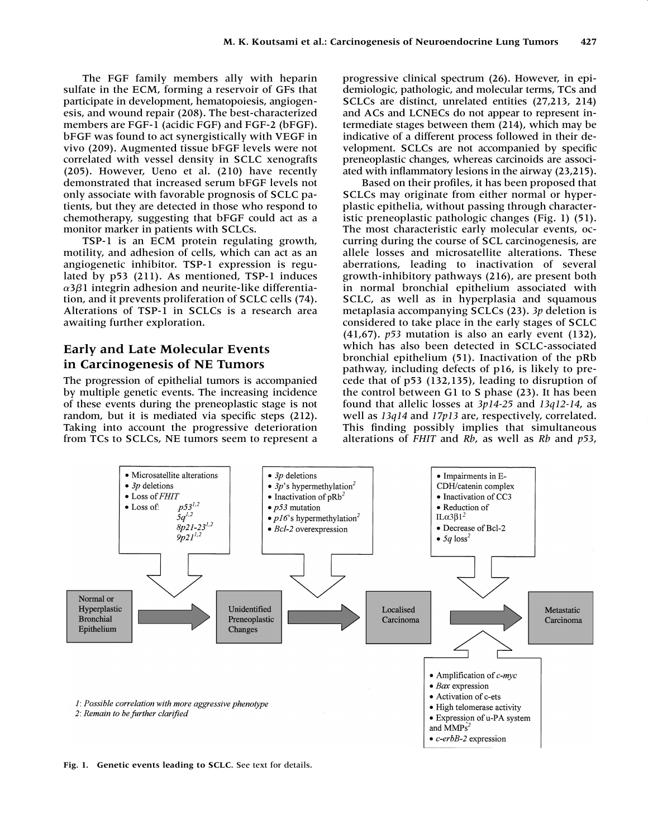The FGF family members ally with heparin sulfate in the ECM, forming a reservoir of GFs that participate in development, hematopoiesis, angiogenesis, and wound repair (208). The best-characterized members are FGF-1 (acidic FGF) and FGF-2 (bFGF). bFGF was found to act synergistically with VEGF in vivo (209). Augmented tissue bFGF levels were not correlated with vessel density in SCLC xenografts (205). However, Ueno et al. (210) have recently demonstrated that increased serum bFGF levels not only associate with favorable prognosis of SCLC patients, but they are detected in those who respond to chemotherapy, suggesting that bFGF could act as a monitor marker in patients with SCLCs.

TSP-1 is an ECM protein regulating growth, motility, and adhesion of cells, which can act as an angiogenetic inhibitor. TSP-1 expression is regulated by p53 (211). As mentioned, TSP-1 induces  $\alpha$ 3 $\beta$ 1 integrin adhesion and neurite-like differentiation, and it prevents proliferation of SCLC cells (74). Alterations of TSP-1 in SCLCs is a research area awaiting further exploration.

# **Early and Late Molecular Events in Carcinogenesis of NE Tumors**

The progression of epithelial tumors is accompanied by multiple genetic events. The increasing incidence of these events during the preneoplastic stage is not random, but it is mediated via specific steps (212). Taking into account the progressive deterioration from TCs to SCLCs, NE tumors seem to represent a progressive clinical spectrum (26). However, in epidemiologic, pathologic, and molecular terms, TCs and SCLCs are distinct, unrelated entities (27,213, 214) and ACs and LCNECs do not appear to represent intermediate stages between them (214), which may be indicative of a different process followed in their development. SCLCs are not accompanied by specific preneoplastic changes, whereas carcinoids are associated with inflammatory lesions in the airway (23,215).

Based on their profiles, it has been proposed that SCLCs may originate from either normal or hyperplastic epithelia, without passing through characteristic preneoplastic pathologic changes (Fig. 1) (51). The most characteristic early molecular events, occurring during the course of SCL carcinogenesis, are allele losses and microsatellite alterations. These aberrations, leading to inactivation of several growth-inhibitory pathways (216), are present both in normal bronchial epithelium associated with SCLC, as well as in hyperplasia and squamous metaplasia accompanying SCLCs (23). *3p* deletion is considered to take place in the early stages of SCLC (41,67). *p53* mutation is also an early event (132), which has also been detected in SCLC-associated bronchial epithelium (51). Inactivation of the pRb pathway, including defects of p16, is likely to precede that of p53 (132,135), leading to disruption of the control between G1 to S phase (23). It has been found that allelic losses at *3p14-25* and *13q12-14*, as well as *13q14* and *17p13* are, respectively, correlated. This finding possibly implies that simultaneous alterations of *FHIT* and *Rb*, as well as *Rb* and *p53*,



**Fig. 1. Genetic events leading to SCLC.** See text for details.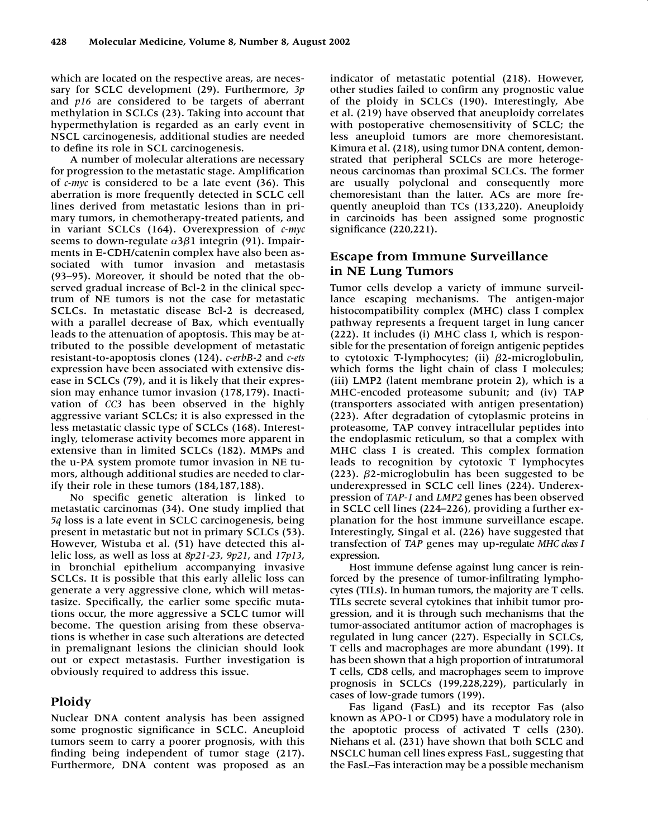which are located on the respective areas, are necessary for SCLC development (29). Furthermore, *3p* and *p16* are considered to be targets of aberrant methylation in SCLCs (23). Taking into account that hypermethylation is regarded as an early event in NSCL carcinogenesis, additional studies are needed to define its role in SCL carcinogenesis.

A number of molecular alterations are necessary for progression to the metastatic stage. Amplification of *c-myc* is considered to be a late event (36). This aberration is more frequently detected in SCLC cell lines derived from metastatic lesions than in primary tumors, in chemotherapy-treated patients, and in variant SCLCs (164). Overexpression of *c-myc* seems to down-regulate α3β1 integrin (91). Impairments in E-CDH/catenin complex have also been associated with tumor invasion and metastasis (93–95). Moreover, it should be noted that the observed gradual increase of Bcl-2 in the clinical spectrum of NE tumors is not the case for metastatic SCLCs. In metastatic disease Bcl-2 is decreased, with a parallel decrease of Bax, which eventually leads to the attenuation of apoptosis. This may be attributed to the possible development of metastatic resistant-to-apoptosis clones (124). *c-erbB-2* and *c-ets* expression have been associated with extensive disease in SCLCs (79), and it is likely that their expression may enhance tumor invasion (178,179). Inactivation of *CC3* has been observed in the highly aggressive variant SCLCs; it is also expressed in the less metastatic classic type of SCLCs (168). Interestingly, telomerase activity becomes more apparent in extensive than in limited SCLCs (182). MMPs and the u-PA system promote tumor invasion in NE tumors, although additional studies are needed to clarify their role in these tumors (184,187,188).

No specific genetic alteration is linked to metastatic carcinomas (34). One study implied that *5q* loss is a late event in SCLC carcinogenesis, being present in metastatic but not in primary SCLCs (53). However, Wistuba et al. (51) have detected this allelic loss, as well as loss at *8p21-23*, *9p21*, and *17p13*, in bronchial epithelium accompanying invasive SCLCs. It is possible that this early allelic loss can generate a very aggressive clone, which will metastasize. Specifically, the earlier some specific mutations occur, the more aggressive a SCLC tumor will become. The question arising from these observations is whether in case such alterations are detected in premalignant lesions the clinician should look out or expect metastasis. Further investigation is obviously required to address this issue.

# **Ploidy**

Nuclear DNA content analysis has been assigned some prognostic significance in SCLC. Aneuploid tumors seem to carry a poorer prognosis, with this finding being independent of tumor stage (217). Furthermore, DNA content was proposed as an

indicator of metastatic potential (218). However, other studies failed to confirm any prognostic value of the ploidy in SCLCs (190). Interestingly, Abe et al. (219) have observed that aneuploidy correlates with postoperative chemosensitivity of SCLC; the less aneuploid tumors are more chemoresistant. Kimura et al. (218), using tumor DNA content, demonstrated that peripheral SCLCs are more heterogeneous carcinomas than proximal SCLCs. The former are usually polyclonal and consequently more chemoresistant than the latter. ACs are more frequently aneuploid than TCs (133,220). Aneuploidy in carcinoids has been assigned some prognostic significance (220,221).

# **Escape from Immune Surveillance in NE Lung Tumors**

Tumor cells develop a variety of immune surveillance escaping mechanisms. The antigen-major histocompatibility complex (MHC) class I complex pathway represents a frequent target in lung cancer (222). It includes (i) MHC class I, which is responsible for the presentation of foreign antigenic peptides to cytotoxic T-lymphocytes; (ii) β2-microglobulin, which forms the light chain of class I molecules; (iii) LMP2 (latent membrane protein 2), which is a MHC-encoded proteasome subunit; and (iv) TAP (transporters associated with antigen presentation) (223). After degradation of cytoplasmic proteins in proteasome, TAP convey intracellular peptides into the endoplasmic reticulum, so that a complex with MHC class I is created. This complex formation leads to recognition by cytotoxic T lymphocytes  $(223)$ .  $\beta$ 2-microglobulin has been suggested to be underexpressed in SCLC cell lines (224). Underexpression of *TAP-1* and *LMP2* genes has been observed in SCLC cell lines (224–226), providing a further explanation for the host immune surveillance escape. Interestingly, Singal et al. (226) have suggested that transfection of *TAP* genes may up-regulate *MHC class I* expression.

Host immune defense against lung cancer is reinforced by the presence of tumor-infiltrating lymphocytes (TILs). In human tumors, the majority are T cells. TILs secrete several cytokines that inhibit tumor progression, and it is through such mechanisms that the tumor-associated antitumor action of macrophages is regulated in lung cancer (227). Especially in SCLCs, T cells and macrophages are more abundant (199). It has been shown that a high proportion of intratumoral T cells, CD8 cells, and macrophages seem to improve prognosis in SCLCs (199,228,229), particularly in cases of low-grade tumors (199).

Fas ligand (FasL) and its receptor Fas (also known as APO-1 or CD95) have a modulatory role in the apoptotic process of activated T cells (230). Niehans et al. (231) have shown that both SCLC and NSCLC human cell lines express FasL, suggesting that the FasL–Fas interaction may be a possible mechanism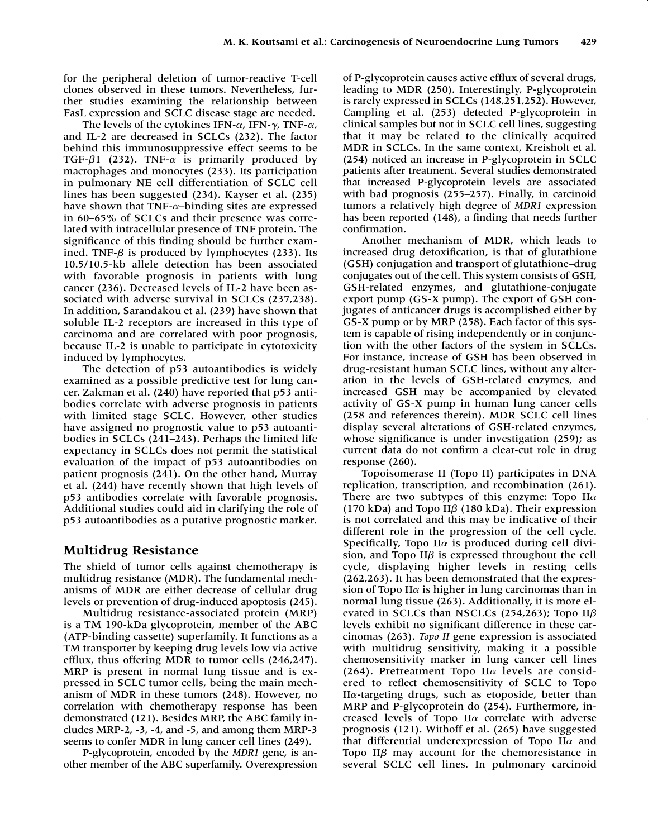for the peripheral deletion of tumor-reactive T-cell clones observed in these tumors. Nevertheless, further studies examining the relationship between FasL expression and SCLC disease stage are needed.

The levels of the cytokines IFN- $\alpha$ , IFN- $\gamma$ , TNF- $\alpha$ , and IL-2 are decreased in SCLCs (232). The factor behind this immunosuppressive effect seems to be TGF- $\beta$ 1 (232). TNF- $\alpha$  is primarily produced by macrophages and monocytes (233). Its participation in pulmonary NE cell differentiation of SCLC cell lines has been suggested (234). Kayser et al. (235) have shown that TNF- $\alpha$ -binding sites are expressed in 60–65% of SCLCs and their presence was correlated with intracellular presence of TNF protein. The significance of this finding should be further examined. TNF- $\beta$  is produced by lymphocytes (233). Its 10.5/10.5-kb allele detection has been associated with favorable prognosis in patients with lung cancer (236). Decreased levels of IL-2 have been associated with adverse survival in SCLCs (237,238). In addition, Sarandakou et al. (239) have shown that soluble IL-2 receptors are increased in this type of carcinoma and are correlated with poor prognosis, because IL-2 is unable to participate in cytotoxicity induced by lymphocytes.

The detection of p53 autoantibodies is widely examined as a possible predictive test for lung cancer. Zalcman et al. (240) have reported that p53 antibodies correlate with adverse prognosis in patients with limited stage SCLC. However, other studies have assigned no prognostic value to p53 autoantibodies in SCLCs (241–243). Perhaps the limited life expectancy in SCLCs does not permit the statistical evaluation of the impact of p53 autoantibodies on patient prognosis (241). On the other hand, Murray et al. (244) have recently shown that high levels of p53 antibodies correlate with favorable prognosis. Additional studies could aid in clarifying the role of p53 autoantibodies as a putative prognostic marker.

# **Multidrug Resistance**

The shield of tumor cells against chemotherapy is multidrug resistance (MDR). The fundamental mechanisms of MDR are either decrease of cellular drug levels or prevention of drug-induced apoptosis (245).

Multidrug resistance-associated protein (MRP) is a TM 190-kDa glycoprotein, member of the ABC (ATP-binding cassette) superfamily. It functions as a TM transporter by keeping drug levels low via active efflux, thus offering MDR to tumor cells (246,247). MRP is present in normal lung tissue and is expressed in SCLC tumor cells, being the main mechanism of MDR in these tumors (248). However, no correlation with chemotherapy response has been demonstrated (121). Besides MRP, the ABC family includes MRP-2, -3, -4, and -5, and among them MRP-3 seems to confer MDR in lung cancer cell lines (249).

P-glycoprotein, encoded by the *MDR1* gene, is another member of the ABC superfamily. Overexpression of P-glycoprotein causes active efflux of several drugs, leading to MDR (250). Interestingly, P-glycoprotein is rarely expressed in SCLCs (148,251,252). However, Campling et al. (253) detected P-glycoprotein in clinical samples but not in SCLC cell lines, suggesting that it may be related to the clinically acquired MDR in SCLCs. In the same context, Kreisholt et al. (254) noticed an increase in P-glycoprotein in SCLC patients after treatment. Several studies demonstrated that increased P-glycoprotein levels are associated with bad prognosis (255–257). Finally, in carcinoid tumors a relatively high degree of *MDR1* expression has been reported (148), a finding that needs further confirmation.

Another mechanism of MDR, which leads to increased drug detoxification, is that of glutathione (GSH) conjugation and transport of glutathione–drug conjugates out of the cell. This system consists of GSH, GSH-related enzymes, and glutathione-conjugate export pump (GS-X pump). The export of GSH conjugates of anticancer drugs is accomplished either by GS-X pump or by MRP (258). Each factor of this system is capable of rising independently or in conjunction with the other factors of the system in SCLCs. For instance, increase of GSH has been observed in drug-resistant human SCLC lines, without any alteration in the levels of GSH-related enzymes, and increased GSH may be accompanied by elevated activity of GS-X pump in human lung cancer cells (258 and references therein). MDR SCLC cell lines display several alterations of GSH-related enzymes, whose significance is under investigation (259); as current data do not confirm a clear-cut role in drug response (260).

Topoisomerase II (Topo II) participates in DNA replication, transcription, and recombination (261). There are two subtypes of this enzyme: Topo  $II\alpha$ (170 kDa) and Topo II $\beta$  (180 kDa). Their expression is not correlated and this may be indicative of their different role in the progression of the cell cycle. Specifically, Topo II $\alpha$  is produced during cell division, and Topo II $\beta$  is expressed throughout the cell cycle, displaying higher levels in resting cells (262,263). It has been demonstrated that the expression of Topo II $\alpha$  is higher in lung carcinomas than in normal lung tissue (263). Additionally, it is more elevated in SCLCs than NSCLCs (254,263); Topo II $\beta$ levels exhibit no significant difference in these carcinomas (263). *Topo II* gene expression is associated with multidrug sensitivity, making it a possible chemosensitivity marker in lung cancer cell lines (264). Pretreatment Topo II $\alpha$  levels are considered to reflect chemosensitivity of SCLC to Topo  $II\alpha$ -targeting drugs, such as etoposide, better than MRP and P-glycoprotein do (254). Furthermore, increased levels of Topo II $\alpha$  correlate with adverse prognosis (121). Withoff et al. (265) have suggested that differential underexpression of Topo II $\alpha$  and Topo II $\beta$  may account for the chemoresistance in several SCLC cell lines. In pulmonary carcinoid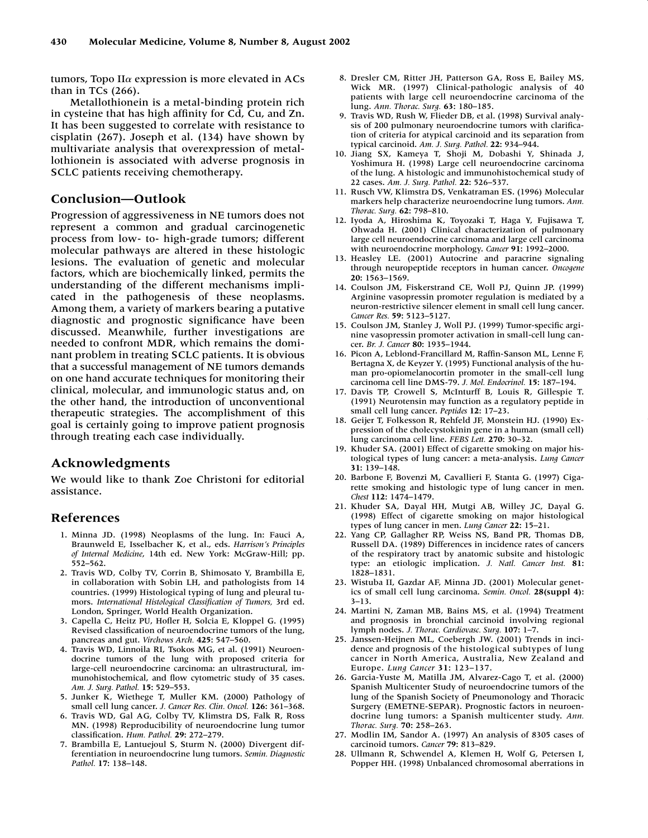tumors, Topo II $\alpha$  expression is more elevated in ACs than in TCs (266).

Metallothionein is a metal-binding protein rich in cysteine that has high affinity for Cd, Cu, and Zn. It has been suggested to correlate with resistance to cisplatin (267). Joseph et al. (134) have shown by multivariate analysis that overexpression of metallothionein is associated with adverse prognosis in SCLC patients receiving chemotherapy.

# **Conclusion—Outlook**

Progression of aggressiveness in NE tumors does not represent a common and gradual carcinogenetic process from low- to- high-grade tumors; different molecular pathways are altered in these histologic lesions. The evaluation of genetic and molecular factors, which are biochemically linked, permits the understanding of the different mechanisms implicated in the pathogenesis of these neoplasms. Among them, a variety of markers bearing a putative diagnostic and prognostic significance have been discussed. Meanwhile, further investigations are needed to confront MDR, which remains the dominant problem in treating SCLC patients. It is obvious that a successful management of NE tumors demands on one hand accurate techniques for monitoring their clinical, molecular, and immunologic status and, on the other hand, the introduction of unconventional therapeutic strategies. The accomplishment of this goal is certainly going to improve patient prognosis through treating each case individually.

### **Acknowledgments**

We would like to thank Zoe Christoni for editorial assistance.

### **References**

- 1. Minna JD. (1998) Neoplasms of the lung. In: Fauci A, Braunweld E, Isselbacher K, et al., eds. *Harrison's Principles of Internal Medicine*, 14th ed. New York: McGraw-Hill; pp. 552–562.
- 2. Travis WD, Colby TV, Corrin B, Shimosato Y, Brambilla E, in collaboration with Sobin LH, and pathologists from 14 countries. (1999) Histological typing of lung and pleural tumors. *International Histological Classification of Tumors,* 3rd ed. London, Springer, World Health Organization.
- 3. Capella C, Heitz PU, Hofler H, Solcia E, Kloppel G. (1995) Revised classification of neuroendocrine tumors of the lung, pancreas and gut. *Virchows Arch.* **425:** 547–560.
- 4. Travis WD, Linnoila RI, Tsokos MG, et al. (1991) Neuroendocrine tumors of the lung with proposed criteria for large-cell neuroendocrine carcinoma: an ultrastructural, immunohistochemical, and flow cytometric study of 35 cases. *Am. J. Surg. Pathol.* **15:** 529–553.
- 5. Junker K, Wiethege T, Muller KM. (2000) Pathology of small cell lung cancer. *J. Cancer Res. Clin. Oncol.* **126:** 361–368.
- 6. Travis WD, Gal AG, Colby TV, Klimstra DS, Falk R, Ross MN. (1998) Reproducibility of neuroendocrine lung tumor classification. *Hum. Pathol.* **29:** 272–279.
- 7. Brambilla E, Lantuejoul S, Sturm N. (2000) Divergent differentiation in neuroendocrine lung tumors. *Semin. Diagnostic Pathol.* **17:** 138–148.
- 8. Dresler CM, Ritter JH, Patterson GA, Ross E, Bailey MS, Wick MR. (1997) Clinical-pathologic analysis of 40 patients with large cell neuroendocrine carcinoma of the lung. *Ann. Thorac. Surg.* **63:** 180–185.
- 9. Travis WD, Rush W, Flieder DB, et al. (1998) Survival analysis of 200 pulmonary neuroendocrine tumors with clarification of criteria for atypical carcinoid and its separation from typical carcinoid. *Am. J. Surg. Pathol.* **22:** 934–944.
- 10. Jiang SX, Kameya T, Shoji M, Dobashi Y, Shinada J, Yoshimura H. (1998) Large cell neuroendocrine carcinoma of the lung. A histologic and immunohistochemical study of 22 cases. *Am. J. Surg. Pathol.* **22:** 526–537.
- 11. Rusch VW, Klimstra DS, Venkatraman ES. (1996) Molecular markers help characterize neuroendocrine lung tumors. *Ann. Thorac. Surg.* **62:** 798–810.
- 12. Iyoda A, Hiroshima K, Toyozaki T, Haga Y, Fujisawa T, Ohwada H. (2001) Clinical characterization of pulmonary large cell neuroendocrine carcinoma and large cell carcinoma with neuroendocrine morphology. *Cancer* **91:** 1992–2000.
- 13. Heasley LE. (2001) Autocrine and paracrine signaling through neuropeptide receptors in human cancer. *Oncogene* **20:** 1563–1569.
- 14. Coulson JM, Fiskerstrand CE, Woll PJ, Quinn JP. (1999) Arginine vasopressin promoter regulation is mediated by a neuron-restrictive silencer element in small cell lung cancer. *Cancer Res.* **59:** 5123–5127.
- 15. Coulson JM, Stanley J, Woll PJ. (1999) Tumor-specific arginine vasopressin promoter activation in small-cell lung cancer. *Br. J. Cancer* **80:** 1935–1944.
- 16. Picon A, Leblond-Francillard M, Raffin-Sanson ML, Lenne F, Bertagna X, de Keyzer Y. (1995) Functional analysis of the human pro-opiomelanocortin promoter in the small-cell lung carcinoma cell line DMS-79. *J. Mol. Endocrinol.* **15:** 187–194.
- 17. Davis TP, Crowell S, McInturff B, Louis R, Gillespie T. (1991) Neurotensin may function as a regulatory peptide in small cell lung cancer. *Peptides* **12:** 17–23.
- 18. Geijer T, Folkesson R, Rehfeld JF, Monstein HJ. (1990) Expression of the cholecystokinin gene in a human (small cell) lung carcinoma cell line. *FEBS Lett.* **270:** 30–32.
- 19. Khuder SA. (2001) Effect of cigarette smoking on major histological types of lung cancer: a meta-analysis. *Lung Cancer* **31:** 139–148.
- 20. Barbone F, Bovenzi M, Cavallieri F, Stanta G. (1997) Cigarette smoking and histologic type of lung cancer in men. *Chest* **112:** 1474–1479.
- 21. Khuder SA, Dayal HH, Mutgi AB, Willey JC, Dayal G. (1998) Effect of cigarette smoking on major histological types of lung cancer in men. *Lung Cancer* **22:** 15–21.
- 22. Yang CP, Gallagher RP, Weiss NS, Band PR, Thomas DB, Russell DA. (1989) Differences in incidence rates of cancers of the respiratory tract by anatomic subsite and histologic type: an etiologic implication. *J. Natl. Cancer Inst.* **81:** 1828–1831.
- 23. Wistuba II, Gazdar AF, Minna JD. (2001) Molecular genetics of small cell lung carcinoma. *Semin. Oncol.* **28(suppl 4):** 3–13.
- 24. Martini N, Zaman MB, Bains MS, et al. (1994) Treatment and prognosis in bronchial carcinoid involving regional lymph nodes. *J. Thorac. Cardiovasc. Surg.* **107:** 1–7.
- 25. Janssen-Heijnen ML, Coebergh JW. (2001) Trends in incidence and prognosis of the histological subtypes of lung cancer in North America, Australia, New Zealand and Europe. *Lung Cancer* **31:** 123–137.
- 26. Garcia-Yuste M, Matilla JM, Alvarez-Cago T, et al. (2000) Spanish Multicenter Study of neuroendocrine tumors of the lung of the Spanish Society of Pneumonology and Thoracic Surgery (EMETNE-SEPAR). Prognostic factors in neuroendocrine lung tumors: a Spanish multicenter study. *Ann. Thorac. Surg.* **70:** 258–263.
- 27. Modlin IM, Sandor A. (1997) An analysis of 8305 cases of carcinoid tumors. *Cancer* **79:** 813–829.
- 28. Ullmann R, Schwendel A, Klemen H, Wolf G, Petersen I, Popper HH. (1998) Unbalanced chromosomal aberrations in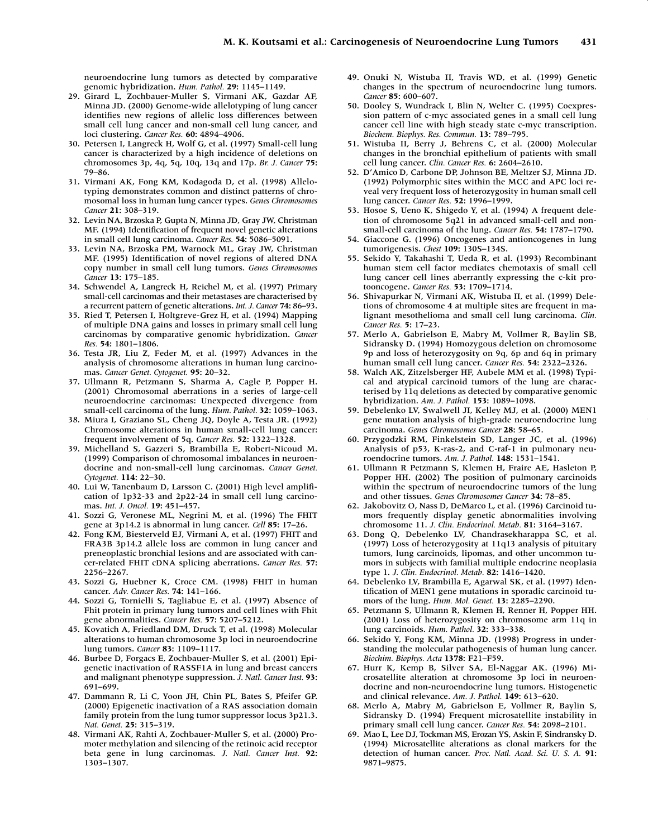neuroendocrine lung tumors as detected by comparative genomic hybridization. *Hum. Pathol.* **29:** 1145–1149.

- 29. Girard L, Zochbauer-Muller S, Virmani AK, Gazdar AF, Minna JD. (2000) Genome-wide allelotyping of lung cancer identifies new regions of allelic loss differences between small cell lung cancer and non-small cell lung cancer, and loci clustering. *Cancer Res.* **60:** 4894–4906.
- 30. Petersen I, Langreck H, Wolf G, et al. (1997) Small-cell lung cancer is characterized by a high incidence of deletions on chromosomes 3p, 4q, 5q, 10q, 13q and 17p. *Br. J. Cancer* **75:** 79–86.
- 31. Virmani AK, Fong KM, Kodagoda D, et al. (1998) Allelotyping demonstrates common and distinct patterns of chromosomal loss in human lung cancer types. *Genes Chromosomes Cancer* **21:** 308–319.
- 32. Levin NA, Brzoska P, Gupta N, Minna JD, Gray JW, Christman MF. (1994) Identification of frequent novel genetic alterations in small cell lung carcinoma. *Cancer Res.* **54:** 5086–5091.
- 33. Levin NA, Brzoska PM, Warnock ML, Gray JW, Christman MF. (1995) Identification of novel regions of altered DNA copy number in small cell lung tumors. *Genes Chromosomes Cancer* **13:** 175–185.
- 34. Schwendel A, Langreck H, Reichel M, et al. (1997) Primary small-cell carcinomas and their metastases are characterised by a recurrent pattern of genetic alterations. *Int. J. Cancer* **74:** 86–93.
- 35. Ried T, Petersen I, Holtgreve-Grez H, et al. (1994) Mapping of multiple DNA gains and losses in primary small cell lung carcinomas by comparative genomic hybridization. *Cancer Res.* **54:** 1801–1806.
- 36. Testa JR, Liu Z, Feder M, et al. (1997) Advances in the analysis of chromosome alterations in human lung carcinomas. *Cancer Genet. Cytogenet.* **95:** 20–32.
- 37. Ullmann R, Petzmann S, Sharma A, Cagle P, Popper H. (2001) Chromosomal aberrations in a series of large-cell neuroendocrine carcinomas: Unexpected divergence from small-cell carcinoma of the lung. *Hum. Pathol.* **32:** 1059–1063.
- 38. Miura I, Graziano SL, Cheng JQ, Doyle A, Testa JR. (1992) Chromosome alterations in human small-cell lung cancer: frequent involvement of 5q. *Cancer Res.* **52:** 1322–1328.
- 39. Michelland S, Gazzeri S, Brambilla E, Robert-Nicoud M. (1999) Comparison of chromosomal imbalances in neuroendocrine and non-small-cell lung carcinomas. *Cancer Genet. Cytogenet.* **114:** 22–30.
- 40. Lui W, Tanenbaum D, Larsson C. (2001) High level amplification of 1p32-33 and 2p22-24 in small cell lung carcinomas. *Int. J. Oncol.* **19:** 451–457.
- 41. Sozzi G, Veronese ML, Negrini M, et al. (1996) The FHIT gene at 3p14.2 is abnormal in lung cancer. *Cell* **85:** 17–26.
- 42. Fong KM, Biesterveld EJ, Virmani A, et al. (1997) FHIT and FRA3B 3p14.2 allele loss are common in lung cancer and preneoplastic bronchial lesions and are associated with cancer-related FHIT cDNA splicing aberrations. *Cancer Res.* **57:** 2256–2267.
- 43. Sozzi G, Huebner K, Croce CM. (1998) FHIT in human cancer. *Adv. Cancer Res.* **74:** 141–166.
- 44. Sozzi G, Tornielli S, Tagliabue E, et al. (1997) Absence of Fhit protein in primary lung tumors and cell lines with Fhit gene abnormalities. *Cancer Res.* **57:** 5207–5212.
- 45. Kovatich A, Friedland DM, Druck T, et al. (1998) Molecular alterations to human chromosome 3p loci in neuroendocrine lung tumors. *Cancer* **83:** 1109–1117.
- 46. Burbee D, Forgacs E, Zochbauer-Muller S, et al. (2001) Epigenetic inactivation of RASSF1A in lung and breast cancers and malignant phenotype suppression. *J. Natl. Cancer Inst.* **93:** 691–699.
- 47. Dammann R, Li C, Yoon JH, Chin PL, Bates S, Pfeifer GP. (2000) Epigenetic inactivation of a RAS association domain family protein from the lung tumor suppressor locus 3p21.3. *Nat. Genet.* **25:** 315–319.
- 48. Virmani AK, Rahti A, Zochbauer-Muller S, et al. (2000) Promoter methylation and silencing of the retinoic acid receptor beta gene in lung carcinomas. *J. Natl. Cancer Inst.* **92:** 1303–1307.
- 49. Onuki N, Wistuba II, Travis WD, et al. (1999) Genetic changes in the spectrum of neuroendocrine lung tumors. *Cancer* **85:** 600–607.
- 50. Dooley S, Wundrack I, Blin N, Welter C. (1995) Coexpression pattern of c-myc associated genes in a small cell lung cancer cell line with high steady state c-myc transcription. *Biochem. Biophys. Res. Commun.* **13:** 789–795.
- 51. Wistuba II, Berry J, Behrens C, et al. (2000) Molecular changes in the bronchial epithelium of patients with small cell lung cancer. *Clin. Cancer Res.* **6:** 2604–2610.
- 52. D'Amico D, Carbone DP, Johnson BE, Meltzer SJ, Minna JD. (1992) Polymorphic sites within the MCC and APC loci reveal very frequent loss of heterozygosity in human small cell lung cancer. *Cancer Res.* **52:** 1996–1999.
- 53. Hosoe S, Ueno K, Shigedo Y, et al. (1994) A frequent deletion of chromosome 5q21 in advanced small-cell and nonsmall-cell carcinoma of the lung. *Cancer Res.* **54:** 1787–1790.
- 54. Giaccone G. (1996) Oncogenes and antioncogenes in lung tumorigenesis. *Chest* **109:** 130S–134S.
- 55. Sekido Y, Takahashi T, Ueda R, et al. (1993) Recombinant human stem cell factor mediates chemotaxis of small cell lung cancer cell lines aberrantly expressing the c-kit protooncogene. *Cancer Res.* **53:** 1709–1714.
- 56. Shivapurkar N, Virmani AK, Wistuba II, et al. (1999) Deletions of chromosome 4 at multiple sites are frequent in malignant mesothelioma and small cell lung carcinoma. *Clin. Cancer Res.* **5:** 17–23.
- 57. Merlo A, Gabrielson E, Mabry M, Vollmer R, Baylin SB, Sidransky D. (1994) Homozygous deletion on chromosome 9p and loss of heterozygosity on 9q, 6p and 6q in primary human small cell lung cancer. *Cancer Res.* **54:** 2322–2326.
- 58. Walch AK, Zitzelsberger HF, Aubele MM et al. (1998) Typical and atypical carcinoid tumors of the lung are characterised by 11q deletions as detected by comparative genomic hybridization. *Am. J. Pathol.* **153:** 1089–1098.
- 59. Debelenko LV, Swalwell JI, Kelley MJ, et al. (2000) MEN1 gene mutation analysis of high-grade neuroendocrine lung carcinoma. *Genes Chromosomes Cancer* **28:** 58–65.
- 60. Przygodzki RM, Finkelstein SD, Langer JC, et al. (1996) Analysis of p53, K-ras-2, and C-raf-1 in pulmonary neuroendocrine tumors. *Am. J. Pathol.* **148:** 1531–1541.
- 61. Ullmann R Petzmann S, Klemen H, Fraire AE, Hasleton P, Popper HH. (2002) The position of pulmonary carcinoids within the spectrum of neuroendocrine tumors of the lung and other tissues. *Genes Chromosomes Cancer* **34:** 78–85.
- 62. Jakobovitz O, Nass D, DeMarco L, et al. (1996) Carcinoid tumors frequently display genetic abnormalities involving chromosome 11. *J. Clin. Endocrinol. Metab.* **81:** 3164–3167.
- 63. Dong Q, Debelenko LV, Chandrasekharappa SC, et al. (1997) Loss of heterozygosity at 11q13 analysis of pituitary tumors, lung carcinoids, lipomas, and other uncommon tumors in subjects with familial multiple endocrine neoplasia type 1. *J. Clin. Endocrinol. Metab.* **82:** 1416–1420.
- 64. Debelenko LV, Brambilla E, Agarwal SK, et al. (1997) Identification of MEN1 gene mutations in sporadic carcinoid tumors of the lung. *Hum. Mol. Genet.* **13:** 2285–2290.
- 65. Petzmann S, Ullmann R, Klemen H, Renner H, Popper HH. (2001) Loss of heterozygosity on chromosome arm 11q in lung carcinoids. *Hum. Pathol.* **32:** 333–338.
- 66. Sekido Y, Fong KM, Minna JD. (1998) Progress in understanding the molecular pathogenesis of human lung cancer. *Biochim. Biophys. Acta* **1378:** F21–F59.
- 67. Hurr K, Kemp B, Silver SA, El-Naggar AK. (1996) Microsatellite alteration at chromosome 3p loci in neuroendocrine and non-neuroendocrine lung tumors. Histogenetic and clinical relevance. *Am. J. Pathol.* **149:** 613–620.
- 68. Merlo A, Mabry M, Gabrielson E, Vollmer R, Baylin S, Sidransky D. (1994) Frequent microsatellite instability in primary small cell lung cancer. *Cancer Res.* **54:** 2098–2101.
- 69. Mao L, Lee DJ, Tockman MS, Erozan YS, Askin F, Sindransky D. (1994) Microsatellite alterations as clonal markers for the detection of human cancer. *Proc. Natl. Acad. Sci. U. S. A.* **91:** 9871–9875.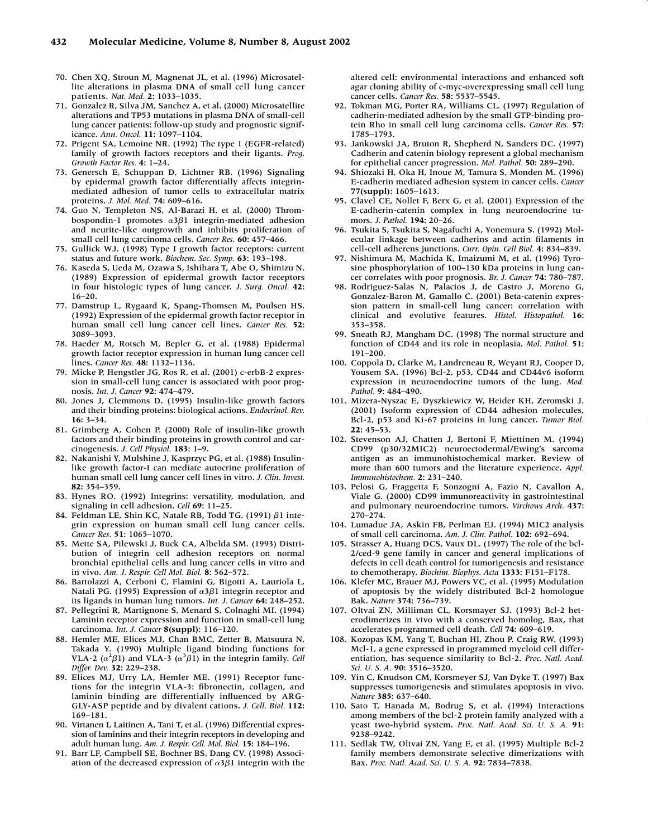- 70. Chen XQ, Stroun M, Magnenat JL, et al. (1996) Microsatellite alterations in plasma DNA of small cell lung cancer patients. *Nat. Med.* **2:** 1033–1035.
- 71. Gonzalez R, Silva JM, Sanchez A, et al. (2000) Microsatellite alterations and TP53 mutations in plasma DNA of small-cell lung cancer patients: follow-up study and prognostic significance. *Ann. Oncol.* **11:** 1097–1104.
- 72. Prigent SA, Lemoine NR. (1992) The type 1 (EGFR-related) family of growth factors receptors and their ligants. *Prog. Growth Factor Res.* **4:** 1–24.
- 73. Genersch E, Schuppan D, Lichtner RB. (1996) Signaling by epidermal growth factor differentially affects integrinmediated adhesion of tumor cells to extracellular matrix proteins. *J. Mol. Med.* **74:** 609–616.
- 74. Guo N, Templeton NS, Al-Barazi H, et al. (2000) Thrombospondin-1 promotes α3β1 integrin-mediated adhesion and neurite-like outgrowth and inhibits proliferation of small cell lung carcinoma cells. *Cancer Res.* **60:** 457–466.
- 75. Gullick WJ. (1998) Type I growth factor receptors: current status and future work. *Biochem. Soc. Symp.* **63:** 193–198.
- 76. Kaseda S, Ueda M, Ozawa S, Ishihara T, Abe O, Shimizu N. (1989) Expression of epidermal growth factor receptors in four histologic types of lung cancer. *J. Surg. Oncol.* **42:** 16–20.
- 77. Damstrup L, Rygaard K, Spang-Thomsen M, Poulsen HS. (1992) Expression of the epidermal growth factor receptor in human small cell lung cancer cell lines. *Cancer Res.* **52:** 3089–3093.
- 78. Haeder M, Rotsch M, Bepler G, et al. (1988) Epidermal growth factor receptor expression in human lung cancer cell lines. *Cancer Res.* **48:** 1132–1136.
- 79. Micke P, Hengstler JG, Ros R, et al. (2001) c-erbB-2 expression in small-cell lung cancer is associated with poor prognosis. *Int. J. Cancer* **92:** 474–479.
- 80. Jones J, Clemmons D. (1995) Insulin-like growth factors and their binding proteins: biological actions. *Endocrinol. Rev.* **16:** 3–34.
- 81. Grimberg A, Cohen P. (2000) Role of insulin-like growth factors and their binding proteins in growth control and carcinogenesis. *J. Cell Physiol.* **183:** 1–9.
- 82. Nakanishi Y, Mulshine J, Kasprzyc PG, et al. (1988) Insulinlike growth factor-I can mediate autocrine proliferation of human small cell lung cancer cell lines in vitro. *J. Clin. Invest.* **82:** 354–359.
- 83. Hynes RO. (1992) Integrins: versatility, modulation, and signaling in cell adhesion. *Cell* **69:** 11–25.
- 84. Feldman LE, Shin KC, Natale RB, Todd TG. (1991) β1 integrin expression on human small cell lung cancer cells. *Cancer Res.* **51:** 1065–1070.
- 85. Mette SA, Pilewski J, Buck CA, Albelda SM. (1993) Distribution of integrin cell adhesion receptors on normal bronchial epithelial cells and lung cancer cells in vitro and in vivo. *Am. J. Respir. Cell Mol. Biol.* **8:** 562–572.
- 86. Bartolazzi A, Cerboni C, Flamini G, Bigotti A, Lauriola L, Natali PG. (1995) Expression of  $\alpha$ 3 $\beta$ 1 integrin receptor and its ligands in human lung tumors. *Int. J. Cancer* **64:** 248–252.
- 87. Pellegrini R, Martignone S, Menard S, Colnaghi MI. (1994) Laminin receptor expression and function in small-cell lung carcinoma. *Int. J. Cancer* **8(suppl):** 116–120.
- 88. Hemler ME, Elices MJ, Chan BMC, Zetter B, Matsuura N, Takada Y. (1990) Multiple ligand binding functions for VLA-2 ( $\alpha^2 \beta$ 1) and VLA-3 ( $\alpha^3 \beta$ 1) in the integrin family. *Cell Differ. Dev.* **32:** 229–238.
- 89. Elices MJ, Urry LA, Hemler ME. (1991) Receptor functions for the integrin VLA-3: fibronectin, collagen, and laminin binding are differentially influenced by ARG-GLY-ASP peptide and by divalent cations. *J. Cell. Biol.* **112:** 169–181.
- 90. Virtanen I, Laitinen A, Tani T, et al. (1996) Differential expression of laminins and their integrin receptors in developing and adult human lung. *Am. J. Respir. Cell. Mol. Biol.* **15:** 184–196.
- 91. Barr LF, Campbell SE, Bochner BS, Dang CV. (1998) Association of the decreased expression of  $\alpha$ 3 $\beta$ 1 integrin with the

altered cell: environmental interactions and enhanced soft agar cloning ability of c-myc-overexpressing small cell lung cancer cells. *Cancer Res.* **58:** 5537–5545.

- 92. Tokman MG, Porter RA, Williams CL. (1997) Regulation of cadherin-mediated adhesion by the small GTP-binding protein Rho in small cell lung carcinoma cells. *Cancer Res.* **57:** 1785–1793.
- 93. Jankowski JA, Bruton R, Shepherd N, Sanders DC. (1997) Cadherin and catenin biology represent a global mechanism for epithelial cancer progression. *Mol. Pathol.* **50:** 289–290.
- 94. Shiozaki H, Oka H, Inoue M, Tamura S, Monden M. (1996) E-cadherin mediated adhesion system in cancer cells. *Cancer* **77(suppl):** 1605–1613.
- 95. Clavel CE, Nollet F, Berx G, et al. (2001) Expression of the E-cadherin-catenin complex in lung neuroendocrine tumors. *J. Pathol.* **194:** 20–26.
- 96. Tsukita S, Tsukita S, Nagafuchi A, Yonemura S. (1992) Molecular linkage between cadherins and actin filaments in cell-cell adherens junctions. *Curr. Opin. Cell Biol.* **4:** 834–839.
- 97. Nishimura M, Machida K, Imaizumi M, et al. (1996) Tyrosine phosphorylation of 100–130 kDa proteins in lung cancer correlates with poor prognosis. *Br. J. Cancer* **74:** 780–787.
- 98. Rodriguez-Salas N, Palacios J, de Castro J, Moreno G, Gonzalez-Baron M, Gamallo C. (2001) Beta-catenin expression pattern in small-cell lung cancer: correlation with clinical and evolutive features. *Histol. Histopathol.* **16:** 353–358.
- 99. Sneath RJ, Mangham DC. (1998) The normal structure and function of CD44 and its role in neoplasia. *Mol. Pathol.* **51:** 191–200.
- 100. Coppola D, Clarke M, Landreneau R, Weyant RJ, Cooper D, Yousem SA. (1996) Bcl-2, p53, CD44 and CD44v6 isoform expression in neuroendocrine tumors of the lung. *Mod. Pathol.* **9:** 484–490.
- 101. Mizera-Nyszac E, Dyszkiewicz W, Heider KH, Zeromski J. (2001) Isoform expression of CD44 adhesion molecules, Bcl-2, p53 and Ki-67 proteins in lung cancer. *Tumor Biol.* **22:** 45–53.
- 102. Stevenson AJ, Chatten J, Bertoni F, Miettinen M. (1994) CD99 (p30/32MIC2) neuroectodermal/Ewing's sarcoma antigen as an immunohistochemical marker. Review of more than 600 tumors and the literature experience. *Appl. Immunohistochem.* **2:** 231–240.
- 103. Pelosi G, Fraggetta F, Sonzogni A, Fazio N, Cavallon A, Viale G. (2000) CD99 immunoreactivity in gastrointestinal and pulmonary neuroendocrine tumors. *Virchows Arch.* **437:** 270–274.
- 104. Lumadue JA, Askin FB, Perlman EJ. (1994) MIC2 analysis of small cell carcinoma. *Am. J. Clin. Pathol.* **102:** 692–694.
- 105. Strasser A, Huang DCS, Vaux DL. (1997) The role of the bcl-2/ced-9 gene family in cancer and general implications of defects in cell death control for tumorigenesis and resistance to chemotherapy. *Biochim. Biophys. Acta* **1333:** F151–F178.
- 106. Klefer MC, Brauer MJ, Powers VC, et al. (1995) Modulation of apoptosis by the widely distributed Bcl-2 homologue Bak. *Nature* **374:** 736–739.
- 107. Oltvai ZN, Milliman CL, Korsmayer SJ. (1993) Bcl-2 heterodimerizes in vivo with a conserved homolog, Bax, that accelerates programmed cell death. *Cell* **74:** 609–619.
- 108. Kozopas KM, Yang T, Buchan HI, Zhou P, Craig RW. (1993) Mcl-1, a gene expressed in programmed myeloid cell differentiation, has sequence similarity to Bcl-2. *Proc. Natl. Acad. Sci. U. S. A.* **90:** 3516–3520.
- 109. Yin C, Knudson CM, Korsmeyer SJ, Van Dyke T. (1997) Bax suppresses tumorigenesis and stimulates apoptosis in vivo. *Nature* **385:** 637–640.
- 110. Sato T, Hanada M, Bodrug S, et al. (1994) Interactions among members of the bcl-2 protein family analyzed with a yeast two-hybrid system. *Proc. Natl. Acad. Sci. U. S. A.* **91:** 9238–9242.
- 111. Sedlak TW, Oltvai ZN, Yang E, et al. (1995) Multiple Bcl-2 family members demonstrate selective dimerizations with Bax. *Proc. Natl. Acad. Sci. U. S. A.* **92:** 7834–7838.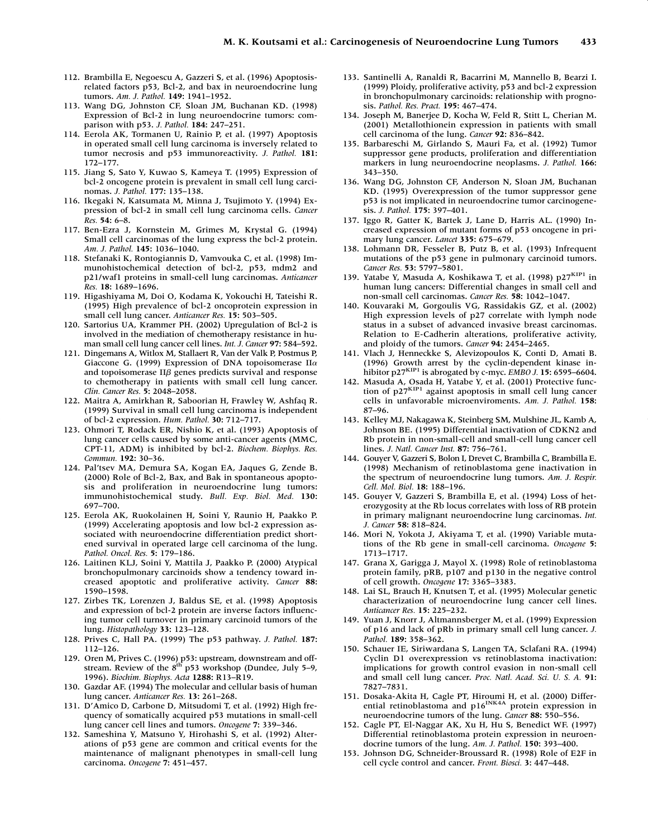- 112. Brambilla E, Negoescu A, Gazzeri S, et al. (1996) Apoptosisrelated factors p53, Bcl-2, and bax in neuroendocrine lung tumors. *Am. J. Pathol.* **149:** 1941–1952.
- 113. Wang DG, Johnston CF, Sloan JM, Buchanan KD. (1998) Expression of Bcl-2 in lung neuroendocrine tumors: comparison with p53. *J. Pathol.* **184:** 247–251.
- 114. Eerola AK, Tormanen U, Rainio P, et al. (1997) Apoptosis in operated small cell lung carcinoma is inversely related to tumor necrosis and p53 immunoreactivity. *J. Pathol.* **181:** 172–177.
- 115. Jiang S, Sato Y, Kuwao S, Kameya T. (1995) Expression of bcl-2 oncogene protein is prevalent in small cell lung carcinomas. *J. Pathol.* **177:** 135–138.
- 116. Ikegaki N, Katsumata M, Minna J, Tsujimoto Y. (1994) Expression of bcl-2 in small cell lung carcinoma cells. *Cancer Res.* **54:** 6–8.
- 117. Ben-Ezra J, Kornstein M, Grimes M, Krystal G. (1994) Small cell carcinomas of the lung express the bcl-2 protein. *Am. J. Pathol.* **145:** 1036–1040.
- 118. Stefanaki K, Rontogiannis D, Vamvouka C, et al. (1998) Immunohistochemical detection of bcl-2, p53, mdm2 and p21/waf1 proteins in small-cell lung carcinomas. *Anticancer Res.* **18:** 1689–1696.
- 119. Higashiyama M, Doi O, Kodama K, Yokouchi H, Tateishi R. (1995) High prevalence of bcl-2 oncoprotein expression in small cell lung cancer. *Anticancer Res.* **15:** 503–505.
- 120. Sartorius UA, Krammer PH. (2002) Upregulation of Bcl-2 is involved in the mediation of chemotherapy resistance in human small cell lung cancer cell lines. *Int. J. Cancer* **97:** 584–592.
- 121. Dingemans A, Witlox M, Stallaert R, Van der Valk P, Postmus P, Giaccone G. (1999) Expression of DNA topoisomerase  $\Pi\alpha$ and topoisomerase II<sub>i</sub> genes predicts survival and response to chemotherapy in patients with small cell lung cancer. *Clin. Cancer Res.* **5:** 2048–2058.
- 122. Maitra A, Amirkhan R, Saboorian H, Frawley W, Ashfaq R. (1999) Survival in small cell lung carcinoma is independent of bcl-2 expression. *Hum. Pathol.* **30:** 712–717.
- 123. Ohmori T, Rodack ER, Nishio K, et al. (1993) Apoptosis of lung cancer cells caused by some anti-cancer agents (MMC, CPT-11, ADM) is inhibited by bcl-2. *Biochem. Biophys. Res. Commun.* **192:** 30–36.
- 124. Pal'tsev MA, Demura SA, Kogan EA, Jaques G, Zende B. (2000) Role of Bcl-2, Bax, and Bak in spontaneous apoptosis and proliferation in neuroendocrine lung tumors: immunohistochemical study. *Bull. Exp. Biol. Med.* **130:** 697–700.
- 125. Eerola AK, Ruokolainen H, Soini Y, Raunio H, Paakko P. (1999) Accelerating apoptosis and low bcl-2 expression associated with neuroendocrine differentiation predict shortened survival in operated large cell carcinoma of the lung. *Pathol. Oncol. Res.* **5:** 179–186.
- 126. Laitinen KLJ, Soini Y, Mattila J, Paakko P. (2000) Atypical bronchopulmonary carcinoids show a tendency toward increased apoptotic and proliferative activity. *Cancer* **88:** 1590–1598.
- 127. Zirbes TK, Lorenzen J, Baldus SE, et al. (1998) Apoptosis and expression of bcl-2 protein are inverse factors influencing tumor cell turnover in primary carcinoid tumors of the lung. *Histopathology* **33:** 123–128.
- 128. Prives C, Hall PA. (1999) The p53 pathway. *J. Pathol.* **187:** 112–126.
- 129. Oren M, Prives C. (1996) p53: upstream, downstream and off-<br>stream. Review of the 8<sup>th</sup> p53 workshop (Dundee, July 5–9, 1996). *Biochim. Biophys. Acta* **1288:** R13–R19.
- 130. Gazdar AF. (1994) The molecular and cellular basis of human lung cancer. *Anticancer Res.* **13:** 261–268.
- 131. D'Amico D, Carbone D, Mitsudomi T, et al. (1992) High frequency of somatically acquired p53 mutations in small-cell lung cancer cell lines and tumors. *Oncogene* **7:** 339–346.
- 132. Sameshina Y, Matsuno Y, Hirohashi S, et al. (1992) Alterations of p53 gene are common and critical events for the maintenance of malignant phenotypes in small-cell lung carcinoma. *Oncogene* **7:** 451–457.
- 133. Santinelli A, Ranaldi R, Bacarrini M, Mannello B, Bearzi I. (1999) Ploidy, proliferative activity, p53 and bcl-2 expression in bronchopulmonary carcinoids: relationship with prognosis. *Pathol. Res. Pract.* **195:** 467–474.
- 134. Joseph M, Banerjee D, Kocha W, Feld R, Stitt L, Cherian M. (2001) Metallothionein expression in patients with small cell carcinoma of the lung. *Cancer* **92:** 836–842.
- 135. Barbareschi M, Girlando S, Mauri Fa, et al. (1992) Tumor suppressor gene products, proliferation and differentiation markers in lung neuroendocrine neoplasms. *J. Pathol.* **166:** 343–350.
- 136. Wang DG, Johnston CF, Anderson N, Sloan JM, Buchanan KD. (1995) Overexpression of the tumor suppressor gene p53 is not implicated in neuroendocrine tumor carcinogenesis. *J. Pathol.* **175:** 397–401.
- 137. Iggo R, Gatter K, Bartek J, Lane D, Harris AL. (1990) Increased expression of mutant forms of p53 oncogene in primary lung cancer. *Lancet* **335:** 675–679.
- 138. Lohmann DR, Fesseler B, Putz B, et al. (1993) Infrequent mutations of the p53 gene in pulmonary carcinoid tumors. *Cancer Res.* **53:** 5797–5801.
- 139. Yatabe Y, Masuda A, Koshikawa T, et al. (1998) p27KIP1 in human lung cancers: Differential changes in small cell and non-small cell carcinomas. *Cancer Res.* **58:** 1042–1047.
- 140. Kouvaraki M, Gorgoulis VG, Rassidakis GZ, et al. (2002) High expression levels of p27 correlate with lymph node status in a subset of advanced invasive breast carcinomas. Relation to E-Cadherin alterations, proliferative activity, and ploidy of the tumors. *Cancer* **94:** 2454–2465.
- 141. Vlach J, Henneckke S, Alevizopoulos K, Conti D, Amati B. (1996) Growth arrest by the cyclin-dependent kinase inhibitor  $p27<sup>KIP1</sup>$  is abrogated by c-myc. *EMBO J.* **15:** 6595–6604.
- 142. Masuda A, Osada H, Yatabe Y, et al. (2001) Protective function of  $p27<sup>KIP1</sup>$  against apoptosis in small cell lung cancer cells in unfavorable microenviroments. *Am. J. Pathol.* **158:** 87–96.
- 143. Kelley MJ, Nakagawa K, Steinberg SM, Mulshine JL, Kamb A, Johnson BE. (1995) Differential inactivation of CDKN2 and Rb protein in non-small-cell and small-cell lung cancer cell lines. *J. Natl. Cancer Inst.* **87:** 756–761.
- 144. Gouyer V, Gazzeri S, Bolon I, Drevet C, Brambilla C, Brambilla E. (1998) Mechanism of retinoblastoma gene inactivation in the spectrum of neuroendocrine lung tumors. *Am. J. Respir. Cell. Mol. Biol.* **18:** 188–196.
- 145. Gouyer V, Gazzeri S, Brambilla E, et al. (1994) Loss of heterozygosity at the Rb locus correlates with loss of RB protein in primary malignant neuroendocrine lung carcinomas. *Int. J. Cancer* **58:** 818–824.
- 146. Mori N, Yokota J, Akiyama T, et al. (1990) Variable mutations of the Rb gene in small-cell carcinoma. *Oncogene* **5:** 1713–1717.
- 147. Grana X, Garigga J, Mayol X. (1998) Role of retinoblastoma protein family, pRB, p107 and p130 in the negative control of cell growth. *Oncogene* **17:** 3365–3383.
- 148. Lai SL, Brauch H, Knutsen T, et al. (1995) Molecular genetic characterization of neuroendocrine lung cancer cell lines. *Anticancer Res.* **15:** 225–232.
- 149. Yuan J, Knorr J, Altmannsberger M, et al. (1999) Expression of p16 and lack of pRb in primary small cell lung cancer. *J. Pathol.* **189:** 358–362.
- 150. Schauer IE, Siriwardana S, Langen TA, Sclafani RA. (1994) Cyclin D1 overexpression vs retinoblastoma inactivation: implications for growth control evasion in non-small cell and small cell lung cancer. *Proc. Natl. Acad. Sci. U. S. A.* **91:** 7827–7831.
- 151. Dosaka-Akita H, Cagle PT, Hiroumi H, et al. (2000) Differ-<br>ential retinoblastoma and p16<sup>INK4A</sup> protein expression in neuroendocrine tumors of the lung. *Cancer* **88:** 550–556.
- 152. Cagle PT, El-Naggar AK, Xu H, Hu S, Benedict WF. (1997) Differential retinoblastoma protein expression in neuroendocrine tumors of the lung. *Am. J. Pathol.* **150:** 393–400.
- 153. Johnson DG, Schneider-Broussard R. (1998) Role of E2F in cell cycle control and cancer. *Front. Biosci.* **3:** 447–448.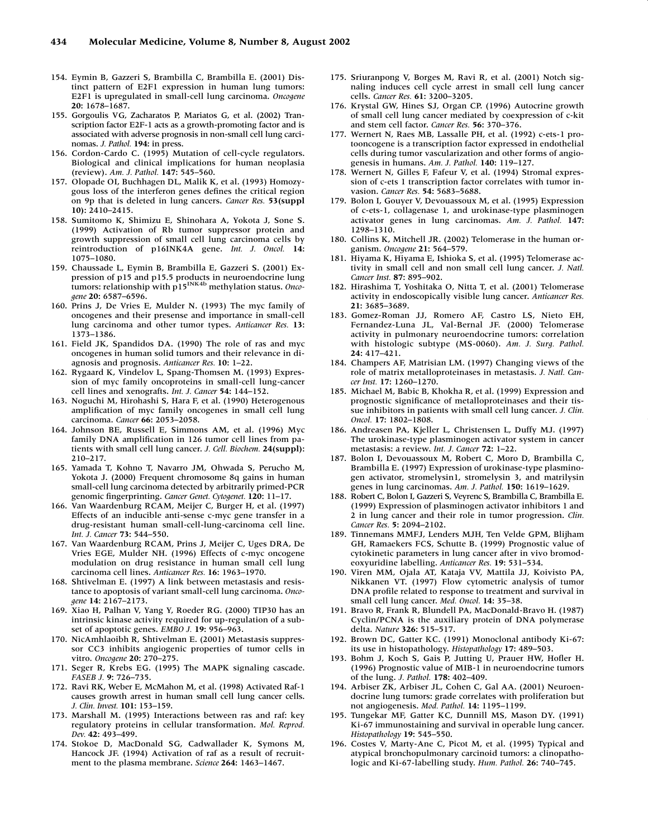- 154. Eymin B, Gazzeri S, Brambilla C, Brambilla E. (2001) Distinct pattern of E2F1 expression in human lung tumors: E2F1 is upregulated in small-cell lung carcinoma. *Oncogene* **20:** 1678–1687.
- 155. Gorgoulis VG, Zacharatos P, Mariatos G, et al. (2002) Transcription factor E2F-1 acts as a growth-promoting factor and is associated with adverse prognosis in non-small cell lung carcinomas. *J. Pathol.* **194:** in press.
- 156. Cordon-Cardo C. (1995) Mutation of cell-cycle regulators. Biological and clinical implications for human neoplasia (review). *Am. J. Pathol.* **147:** 545–560.
- 157. Olopade OI, Buchhagen DL, Malik K, et al. (1993) Homozygous loss of the interferon genes defines the critical region on 9p that is deleted in lung cancers. *Cancer Res.* **53(suppl 10):** 2410–2415.
- 158. Sumitomo K, Shimizu E, Shinohara A, Yokota J, Sone S. (1999) Activation of Rb tumor suppressor protein and growth suppression of small cell lung carcinoma cells by reintroduction of p16INK4A gene. *Int. J. Oncol.* **14:** 1075–1080.
- 159. Chaussade L, Eymin B, Brambilla E, Gazzeri S. (2001) Expression of p15 and p15.5 products in neuroendocrine lung<br>tumors: relationship with p15<sup>INK4b</sup> methylation status. *Oncogene* **20:** 6587–6596.
- 160. Prins J, De Vries E, Mulder N. (1993) The myc family of oncogenes and their presense and importance in small-cell lung carcinoma and other tumor types. *Anticancer Res.* **13:** 1373–1386.
- 161. Field JK, Spandidos DA. (1990) The role of ras and myc oncogenes in human solid tumors and their relevance in diagnosis and prognosis. *Anticancer Res.* **10:** 1–22.
- 162. Rygaard K, Vindelov L, Spang-Thomsen M. (1993) Expression of myc family oncoproteins in small-cell lung-cancer cell lines and xenografts. *Int. J. Cancer* **54:** 144–152.
- 163. Noguchi M, Hirohashi S, Hara F, et al. (1990) Heterogenous amplification of myc family oncogenes in small cell lung carcinoma. *Cancer* **66:** 2053–2058.
- 164. Johnson BE, Russell E, Simmons AM, et al. (1996) Myc family DNA amplification in 126 tumor cell lines from patients with small cell lung cancer. *J. Cell. Biochem.* **24(suppl):** 210–217.
- 165. Yamada T, Kohno T, Navarro JM, Ohwada S, Perucho M, Yokota J. (2000) Frequent chromosome 8q gains in human small-cell lung carcinoma detected by arbitrarily primed-PCR genomic fingerprinting. *Cancer Genet. Cytogenet.* **120:** 11–17.
- 166. Van Waardenburg RCAM, Meijer C, Burger H, et al. (1997) Effects of an inducible anti-sense c-myc gene transfer in a drug-resistant human small-cell-lung-carcinoma cell line. *Int. J. Cancer* **73:** 544–550.
- 167. Van Waardenburg RCAM, Prins J, Meijer C, Uges DRA, De Vries EGE, Mulder NH. (1996) Effects of c-myc oncogene modulation on drug resistance in human small cell lung carcinoma cell lines. *Anticancer Res.* **16:** 1963–1970.
- 168. Shtivelman E. (1997) A link between metastasis and resistance to apoptosis of variant small-cell lung carcinoma. *Oncogene* **14:** 2167–2173.
- 169. Xiao H, Palhan V, Yang Y, Roeder RG. (2000) TIP30 has an intrinsic kinase activity required for up-regulation of a subset of apoptotic genes. *EMBO J.* **19:** 956–963.
- 170. NicAmhlaoibh R, Shtivelman E. (2001) Metastasis suppressor CC3 inhibits angiogenic properties of tumor cells in vitro. *Oncogene* **20:** 270–275.
- 171. Seger R, Krebs EG. (1995) The MAPK signaling cascade. *FASEB J.* **9:** 726–735.
- 172. Ravi RK, Weber E, McMahon M, et al. (1998) Activated Raf-1 causes growth arrest in human small cell lung cancer cells. *J. Clin. Invest.* **101:** 153–159.
- 173. Marshall M. (1995) Interactions between ras and raf: key regulatory proteins in cellular transformation. *Mol. Reprod. Dev.* **42:** 493–499.
- 174. Stokoe D, MacDonald SG, Cadwallader K, Symons M, Hancock JF. (1994) Activation of raf as a result of recruitment to the plasma membrane. *Science* **264:** 1463–1467.
- 175. Sriuranpong V, Borges M, Ravi R, et al. (2001) Notch signaling induces cell cycle arrest in small cell lung cancer cells. *Cancer Res.* **61:** 3200–3205.
- 176. Krystal GW, Hines SJ, Organ CP. (1996) Autocrine growth of small cell lung cancer mediated by coexpression of c-kit and stem cell factor. *Cancer Res.* **56:** 370–376.
- 177. Wernert N, Raes MB, Lassalle PH, et al. (1992) c-ets-1 protooncogene is a transcription factor expressed in endothelial cells during tumor vascularization and other forms of angiogenesis in humans. *Am. J. Pathol.* **140:** 119–127.
- 178. Wernert N, Gilles F, Fafeur V, et al. (1994) Stromal expression of c-ets 1 transcription factor correlates with tumor invasion. *Cancer Res.* **54:** 5683–5688.
- 179. Bolon I, Gouyer V, Devouassoux M, et al. (1995) Expression of c-ets-1, collagenase 1, and urokinase-type plasminogen activator genes in lung carcinomas. *Am. J. Pathol.* **147:** 1298–1310.
- 180. Collins K, Mitchell JR. (2002) Telomerase in the human organism. *Oncogene* **21:** 564–579.
- 181. Hiyama K, Hiyama E, Ishioka S, et al. (1995) Telomerase activity in small cell and non small cell lung cancer. *J. Natl. Cancer Inst.* **87:** 895–902.
- 182. Hirashima T, Yoshitaka O, Nitta T, et al. (2001) Telomerase activity in endoscopically visible lung cancer. *Anticancer Res.* **21:** 3685–3689.
- 183. Gomez-Roman JJ, Romero AF, Castro LS, Nieto EH, Fernandez-Luna JL, Val-Bernal JF. (2000) Telomerase activity in pulmonary neuroendocrine tumors: correlation with histologic subtype (MS-0060). *Am. J. Surg. Pathol.* **24:** 417–421.
- 184. Champers AF, Matrisian LM. (1997) Changing views of the role of matrix metalloproteinases in metastasis. *J. Natl. Cancer Inst.* **17:** 1260–1270.
- 185. Michael M, Babic B, Khokha R, et al. (1999) Expression and prognostic significance of metalloproteinases and their tissue inhibitors in patients with small cell lung cancer. *J. Clin. Oncol.* **17:** 1802–1808.
- 186. Andreasen PA, Kjeller L, Christensen L, Duffy MJ. (1997) The urokinase-type plasminogen activator system in cancer metastasis: a review. *Int. J. Cancer* **72:** 1–22.
- 187. Bolon I, Devouassoux M, Robert C, Moro D, Brambilla C, Brambilla E. (1997) Expression of urokinase-type plasminogen activator, stromelysin1, stromelysin 3, and matrilysin genes in lung carcinomas. *Am. J. Pathol.* **150:** 1619–1629.
- 188. Robert C, Bolon I, Gazzeri S, Veyrenc S, Brambilla C, Brambilla E. (1999) Expression of plasminogen activator inhibitors 1 and 2 in lung cancer and their role in tumor progression. *Clin. Cancer Res.* **5:** 2094–2102.
- 189. Tinnemans MMFJ, Lenders MJH, Ten Velde GPM, Blijham GH, Ramaekers FCS, Schutte B. (1999) Prognostic value of cytokinetic parameters in lung cancer after in vivo bromodeoxyuridine labelling. *Anticancer Res.* **19:** 531–534.
- 190. Viren MM, Ojala AT, Kataja VV, Mattila JJ, Koivisto PA, Nikkanen VT. (1997) Flow cytometric analysis of tumor DNA profile related to response to treatment and survival in small cell lung cancer. *Med. Oncol.* **14:** 35–38.
- 191. Bravo R, Frank R, Blundell PA, MacDonald-Bravo H. (1987) Cyclin/PCNA is the auxiliary protein of DNA polymerase delta. *Nature* **326:** 515–517.
- 192. Brown DC, Gatter KC. (1991) Monoclonal antibody Ki-67: its use in histopathology. *Histopathology* **17:** 489–503.
- 193. Bohm J, Koch S, Gais P, Jutting U, Prauer HW, Hofler H. (1996) Prognostic value of MIB-1 in neuroendocrine tumors of the lung. *J. Pathol.* **178:** 402–409.
- 194. Arbiser ZK, Arbiser JL, Cohen C, Gal AA. (2001) Neuroendocrine lung tumors: grade correlates with proliferation but not angiogenesis. *Mod. Pathol.* **14:** 1195–1199.
- 195. Tungekar MF, Gatter KC, Dunnill MS, Mason DY. (1991) Ki-67 immunostaining and survival in operable lung cancer. *Histopathology* **19:** 545–550.
- 196. Costes V, Marty-Ane C, Picot M, et al. (1995) Typical and atypical bronchopulmonary carcinoid tumors: a clinopathologic and Ki-67-labelling study. *Hum. Pathol.* **26:** 740–745.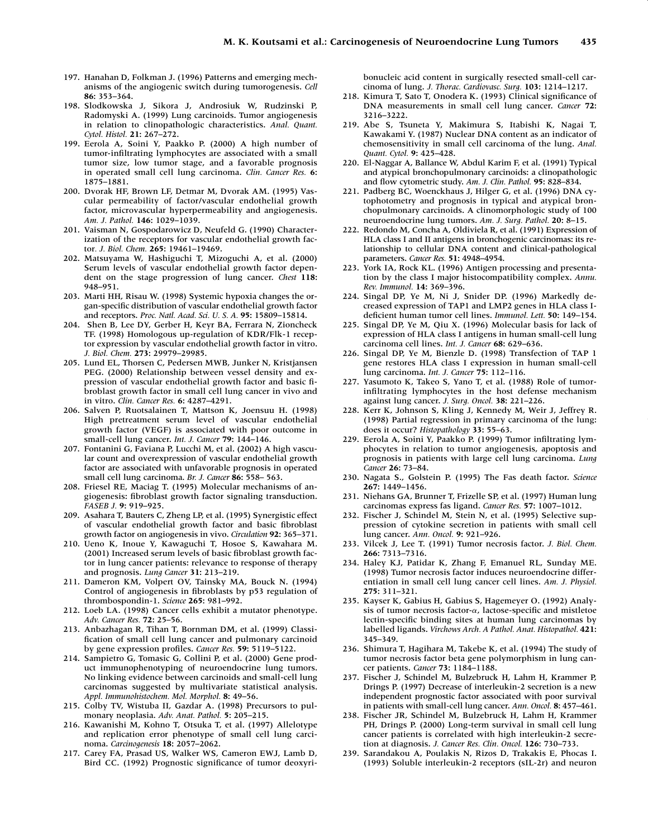- 197. Hanahan D, Folkman J. (1996) Patterns and emerging mechanisms of the angiogenic switch during tumorogenesis. *Cell* **86:** 353–364.
- 198. Slodkowska J, Sikora J, Androsiuk W, Rudzinski P, Radomyski A. (1999) Lung carcinoids. Tumor angiogenesis in relation to clinopathologic characteristics. *Anal. Quant. Cytol. Histol.* **21:** 267–272.
- 199. Eerola A, Soini Y, Paakko P. (2000) A high number of tumor-infiltrating lymphocytes are associated with a small tumor size, low tumor stage, and a favorable prognosis in operated small cell lung carcinoma. *Clin. Cancer Res.* **6:** 1875–1881.
- 200. Dvorak HF, Brown LF, Detmar M, Dvorak AM. (1995) Vascular permeability of factor/vascular endothelial growth factor, microvascular hyperpermeability and angiogenesis. *Am. J. Pathol.* **146:** 1029–1039.
- 201. Vaisman N, Gospodarowicz D, Neufeld G. (1990) Characterization of the receptors for vascular endothelial growth factor*. J. Biol. Chem.* **265:** 19461–19469.
- 202. Matsuyama W, Hashiguchi T, Mizoguchi A, et al. (2000) Serum levels of vascular endothelial growth factor dependent on the stage progression of lung cancer. *Chest* **118:** 948–951.
- 203. Marti HH, Risau W. (1998) Systemic hypoxia changes the organ-specific distribution of vascular endothelial growth factor and receptors. *Proc. Natl. Acad. Sci. U. S. A.* **95:** 15809–15814.
- 204. Shen B, Lee DY, Gerber H, Keyr BA, Ferrara N, Zioncheck TF. (1998) Homologous up-regulation of KDR/Flk-1 receptor expression by vascular endothelial growth factor in vitro. *J. Biol. Chem.* **273:** 29979–29985.
- 205. Lund EL, Thorsen C, Pedersen MWB, Junker N, Kristjansen PEG. (2000) Relationship between vessel density and expression of vascular endothelial growth factor and basic fibroblast growth factor in small cell lung cancer in vivo and in vitro. *Clin. Cancer Res.* **6:** 4287–4291.
- 206. Salven P, Ruotsalainen T, Mattson K, Joensuu H. (1998) High pretreatment serum level of vascular endothelial growth factor (VEGF) is associated with poor outcome in small-cell lung cancer. *Int. J. Cancer* **79:** 144–146.
- 207. Fontanini G, Faviana P, Lucchi M, et al. (2002) A high vascular count and overexpression of vascular endothelial growth factor are associated with unfavorable prognosis in operated small cell lung carcinoma. *Br. J. Cancer* **86:** 558– 563.
- 208. Friesel RE, Maciag T. (1995) Molecular mechanisms of angiogenesis: fibroblast growth factor signaling transduction. *FASEB J.* **9:** 919–925.
- 209. Asahara T, Bauters C, Zheng LP, et al. (1995) Synergistic effect of vascular endothelial growth factor and basic fibroblast growth factor on angiogenesis in vivo. *Circulation* **92:** 365–371.
- 210. Ueno K, Inoue Y, Kawaguchi T, Hosoe S, Kawahara M. (2001) Increased serum levels of basic fibroblast growth factor in lung cancer patients: relevance to response of therapy and prognosis. *Lung Cancer* **31:** 213–219.
- 211. Dameron KM, Volpert OV, Tainsky MA, Bouck N. (1994) Control of angiogenesis in fibroblasts by p53 regulation of thrombospondin-1. *Science* **265:** 981–992.
- 212. Loeb LA. (1998) Cancer cells exhibit a mutator phenotype. *Adv. Cancer Res.* **72:** 25–56.
- 213. Anbazhagan R, Tihan T, Bornman DM, et al. (1999) Classification of small cell lung cancer and pulmonary carcinoid by gene expression profiles. *Cancer Res.* **59:** 5119–5122.
- 214. Sampietro G, Tomasic G, Collini P, et al. (2000) Gene product immunophenotyping of neuroendocrine lung tumors. No linking evidence between carcinoids and small-cell lung carcinomas suggested by multivariate statistical analysis. *Appl. Immunohistochem. Mol. Morphol.* **8:** 49–56.
- 215. Colby TV, Wistuba II, Gazdar A. (1998) Precursors to pulmonary neoplasia. *Adv. Anat. Pathol.* **5:** 205–215.
- 216. Kawanishi M, Kohno T, Otsuka T, et al. (1997) Allelotype and replication error phenotype of small cell lung carcinoma. *Carcinogenesis* **18:** 2057–2062.
- 217. Carey FA, Prasad US, Walker WS, Cameron EWJ, Lamb D, Bird CC. (1992) Prognostic significance of tumor deoxyri-

bonucleic acid content in surgically resected small-cell carcinoma of lung. *J. Thorac. Cardiovasc. Surg.* **103:** 1214–1217.

- 218. Kimura T, Sato T, Onodera K. (1993) Clinical significance of DNA measurements in small cell lung cancer. *Cancer* **72:** 3216–3222.
- 219. Abe S, Tsuneta Y, Makimura S, Itabishi K, Nagai T, Kawakami Y. (1987) Nuclear DNA content as an indicator of chemosensitivity in small cell carcinoma of the lung. *Anal. Quant. Cytol.* **9:** 425–428.
- 220. El-Naggar A, Ballance W, Abdul Karim F, et al. (1991) Typical and atypical bronchopulmonary carcinoids: a clinopathologic and flow cytometric study. *Am. J. Clin. Pathol.* **95:** 828–834.
- 221. Padberg BC, Woenckhaus J, Hilger G, et al. (1996) DNA cytophotometry and prognosis in typical and atypical bronchopulmonary carcinoids. A clinomorphologic study of 100 neuroendocrine lung tumors. *Am. J. Surg. Pathol.* **20:** 8–15.
- 222. Redondo M, Concha A, Oldiviela R, et al. (1991) Expression of HLA class I and II antigens in bronchogenic carcinomas: its relationship to cellular DNA content and clinical-pathological parameters. *Cancer Res.* **51:** 4948–4954.
- 223. York IA, Rock KL. (1996) Antigen processing and presentation by the class I major histocompatibility complex. *Annu. Rev. Immunol.* **14:** 369–396.
- 224. Singal DP, Ye M, Ni J, Snider DP. (1996) Markedly decreased expression of TAP1 and LMP2 genes in HLA class Ideficient human tumor cell lines. *Immunol. Lett.* **50:** 149–154.
- 225. Singal DP, Ye M, Qiu X. (1996) Molecular basis for lack of expression of HLA class I antigens in human small-cell lung carcinoma cell lines. *Int. J. Cancer* **68:** 629–636.
- 226. Singal DP, Ye M, Bienzle D. (1998) Transfection of TAP 1 gene restores HLA class I expression in human small-cell lung carcinoma. *Int. J. Cancer* **75:** 112–116.
- 227. Yasumoto K, Takeo S, Yano T, et al. (1988) Role of tumorinfiltrating lymphocytes in the host defense mechanism against lung cancer. *J. Surg. Oncol.* **38:** 221–226.
- 228. Kerr K, Johnson S, Kling J, Kennedy M, Weir J, Jeffrey R. (1998) Partial regression in primary carcinoma of the lung: does it occur? *Histopathology* **33:** 55–63.
- 229. Eerola A, Soini Y, Paakko P. (1999) Tumor infiltrating lymphocytes in relation to tumor angiogenesis, apoptosis and prognosis in patients with large cell lung carcinoma. *Lung Cancer* **26:** 73–84.
- 230. Nagata S., Golstein P. (1995) The Fas death factor. *Science* **267:** 1449–1456.
- 231. Niehans GA, Brunner T, Frizelle SP, et al. (1997) Human lung carcinomas express fas ligand. *Cancer Res.* **57:** 1007–1012.
- 232. Fischer J, Schindel M, Stein N, et al. (1995) Selective suppression of cytokine secretion in patients with small cell lung cancer. *Ann. Oncol.* **9:** 921–926.
- 233. Vilcek J, Lee T. (1991) Tumor necrosis factor. *J. Biol. Chem.* **266:** 7313–7316.
- 234. Haley KJ, Patidar K, Zhang F, Emanuel RL, Sunday ME. (1998) Tumor necrosis factor induces neuroendocrine differentiation in small cell lung cancer cell lines. *Am. J. Physiol.* **275:** 311–321.
- 235. Kayser K, Gabius H, Gabius S, Hagemeyer O. (1992) Analysis of tumor necrosis factor- $\alpha$ , lactose-specific and mistletoe lectin-specific binding sites at human lung carcinomas by labelled ligands. *Virchows Arch. A Pathol. Anat. Histopathol.* **421:** 345–349.
- 236. Shimura T, Hagihara M, Takebe K, et al. (1994) The study of tumor necrosis factor beta gene polymorphism in lung cancer patients. *Cancer* **73:** 1184–1188.
- 237. Fischer J, Schindel M, Bulzebruck H, Lahm H, Krammer P, Drings P. (1997) Decrease of interleukin-2 secretion is a new independent prognostic factor associated with poor survival in patients with small-cell lung cancer. *Ann. Oncol.* **8:** 457–461.
- 238. Fischer JR, Schindel M, Bulzebruck H, Lahm H, Krammer PH, Drings P. (2000) Long-term survival in small cell lung cancer patients is correlated with high interleukin-2 secretion at diagnosis. *J. Cancer Res. Clin. Oncol.* **126:** 730–733.
- 239. Sarandakou A, Poulakis N, Rizos D, Trakakis E, Phocas I. (1993) Soluble interleukin-2 receptors (sIL-2r) and neuron